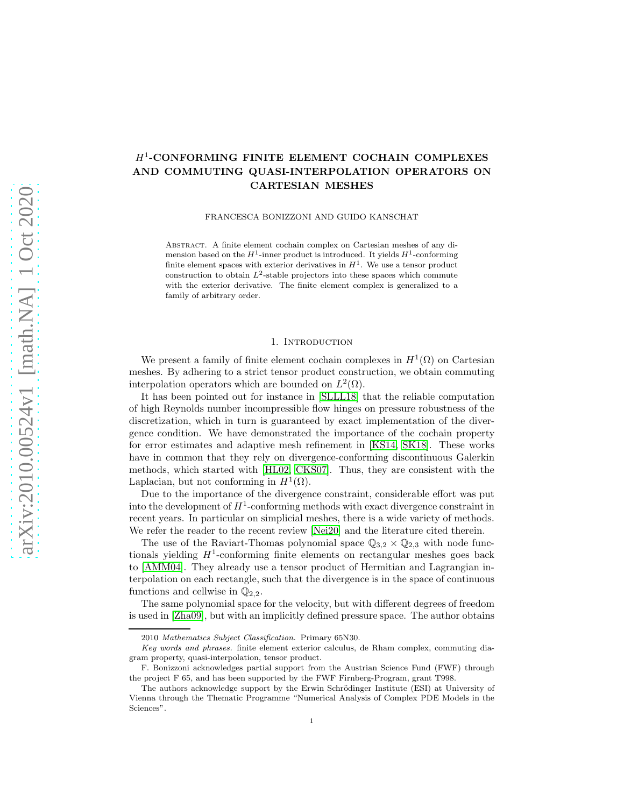# H<sup>1</sup> -CONFORMING FINITE ELEMENT COCHAIN COMPLEXES AND COMMUTING QUASI-INTERPOLATION OPERATORS ON CARTESIAN MESHES

FRANCESCA BONIZZONI AND GUIDO KANSCHAT

Abstract. A finite element cochain complex on Cartesian meshes of any dimension based on the  $H^1$ -inner product is introduced. It yields  $H^1$ -conforming finite element spaces with exterior derivatives in  $H<sup>1</sup>$ . We use a tensor product construction to obtain  $L^2$ -stable projectors into these spaces which commute with the exterior derivative. The finite element complex is generalized to a family of arbitrary order.

## 1. INTRODUCTION

We present a family of finite element cochain complexes in  $H^1(\Omega)$  on Cartesian meshes. By adhering to a strict tensor product construction, we obtain commuting interpolation operators which are bounded on  $L^2(\Omega)$ .

It has been pointed out for instance in [\[SLLL18\]](#page-18-0) that the reliable computation of high Reynolds number incompressible flow hinges on pressure robustness of the discretization, which in turn is guaranteed by exact implementation of the divergence condition. We have demonstrated the importance of the cochain property for error estimates and adaptive mesh refinement in [\[KS14,](#page-18-1) [SK18\]](#page-18-2). These works have in common that they rely on divergence-conforming discontinuous Galerkin methods, which started with [\[HL02,](#page-18-3) [CKS07\]](#page-18-4). Thus, they are consistent with the Laplacian, but not conforming in  $H^1(\Omega)$ .

Due to the importance of the divergence constraint, considerable effort was put into the development of  $H^1$ -conforming methods with exact divergence constraint in recent years. In particular on simplicial meshes, there is a wide variety of methods. We refer the reader to the recent review [\[Nei20\]](#page-18-5) and the literature cited therein.

The use of the Raviart-Thomas polynomial space  $\mathbb{Q}_{3,2} \times \mathbb{Q}_{2,3}$  with node functionals yielding  $H^1$ -conforming finite elements on rectangular meshes goes back to [\[AMM04\]](#page-18-6). They already use a tensor product of Hermitian and Lagrangian interpolation on each rectangle, such that the divergence is in the space of continuous functions and cellwise in  $\mathbb{Q}_{2,2}$ .

The same polynomial space for the velocity, but with different degrees of freedom is used in [\[Zha09\]](#page-19-0), but with an implicitly defined pressure space. The author obtains

<sup>2010</sup> *Mathematics Subject Classification.* Primary 65N30.

*Key words and phrases.* finite element exterior calculus, de Rham complex, commuting diagram property, quasi-interpolation, tensor product.

F. Bonizzoni acknowledges partial support from the Austrian Science Fund (FWF) through the project F 65, and has been supported by the FWF Firnberg-Program, grant T998.

The authors acknowledge support by the Erwin Schrödinger Institute (ESI) at University of Vienna through the Thematic Programme "Numerical Analysis of Complex PDE Models in the Sciences".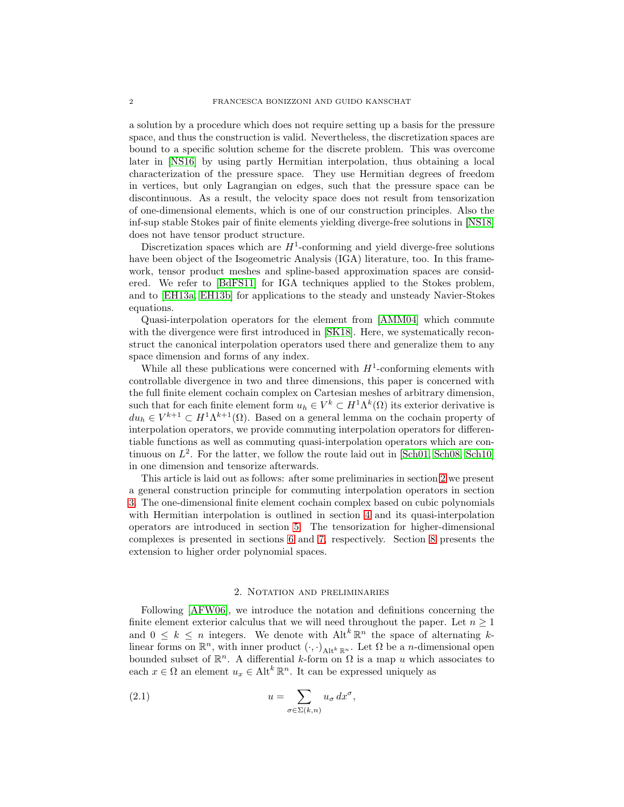a solution by a procedure which does not require setting up a basis for the pressure space, and thus the construction is valid. Nevertheless, the discretization spaces are bound to a specific solution scheme for the discrete problem. This was overcome later in [\[NS16\]](#page-18-7) by using partly Hermitian interpolation, thus obtaining a local characterization of the pressure space. They use Hermitian degrees of freedom in vertices, but only Lagrangian on edges, such that the pressure space can be discontinuous. As a result, the velocity space does not result from tensorization of one-dimensional elements, which is one of our construction principles. Also the inf-sup stable Stokes pair of finite elements yielding diverge-free solutions in [\[NS18\]](#page-18-8) does not have tensor product structure.

Discretization spaces which are  $H^1$ -conforming and yield diverge-free solutions have been object of the Isogeometric Analysis (IGA) literature, too. In this framework, tensor product meshes and spline-based approximation spaces are considered. We refer to [\[BdFS11\]](#page-18-9) for IGA techniques applied to the Stokes problem, and to [\[EH13a,](#page-18-10) [EH13b\]](#page-18-11) for applications to the steady and unsteady Navier-Stokes equations.

Quasi-interpolation operators for the element from [\[AMM04\]](#page-18-6) which commute with the divergence were first introduced in [\[SK18\]](#page-18-2). Here, we systematically reconstruct the canonical interpolation operators used there and generalize them to any space dimension and forms of any index.

While all these publications were concerned with  $H^1$ -conforming elements with controllable divergence in two and three dimensions, this paper is concerned with the full finite element cochain complex on Cartesian meshes of arbitrary dimension, such that for each finite element form  $u_h \in V^k \subset H^1 \Lambda^k(\Omega)$  its exterior derivative is  $du_h \in V^{k+1} \subset H^1 \Lambda^{k+1}(\Omega)$ . Based on a general lemma on the cochain property of interpolation operators, we provide commuting interpolation operators for differentiable functions as well as commuting quasi-interpolation operators which are continuous on  $L^2$ . For the latter, we follow the route laid out in [\[Sch01,](#page-18-12) [Sch08,](#page-18-13) [Sch10\]](#page-18-14) in one dimension and tensorize afterwards.

This article is laid out as follows: after some preliminaries in section [2](#page-1-0) we present a general construction principle for commuting interpolation operators in section [3.](#page-3-0) The one-dimensional finite element cochain complex based on cubic polynomials with Hermitian interpolation is outlined in section [4](#page-4-0) and its quasi-interpolation operators are introduced in section [5.](#page-6-0) The tensorization for higher-dimensional complexes is presented in sections [6](#page-9-0) and [7,](#page-11-0) respectively. Section [8](#page-14-0) presents the extension to higher order polynomial spaces.

# 2. Notation and preliminaries

<span id="page-1-0"></span>Following [\[AFW06\]](#page-18-15), we introduce the notation and definitions concerning the finite element exterior calculus that we will need throughout the paper. Let  $n \geq 1$ and  $0 \leq k \leq n$  integers. We denote with  $\mathrm{Alt}^k \mathbb{R}^n$  the space of alternating klinear forms on  $\mathbb{R}^n$ , with inner product  $(\cdot, \cdot)_{\text{Alt}^k \mathbb{R}^n}$ . Let  $\Omega$  be a *n*-dimensional open bounded subset of  $\mathbb{R}^n$ . A differential k-form on  $\Omega$  is a map u which associates to each  $x \in \Omega$  an element  $u_x \in$  Alt<sup>k</sup>  $\mathbb{R}^n$ . It can be expressed uniquely as

<span id="page-1-1"></span>(2.1) 
$$
u = \sum_{\sigma \in \Sigma(k,n)} u_{\sigma} dx^{\sigma},
$$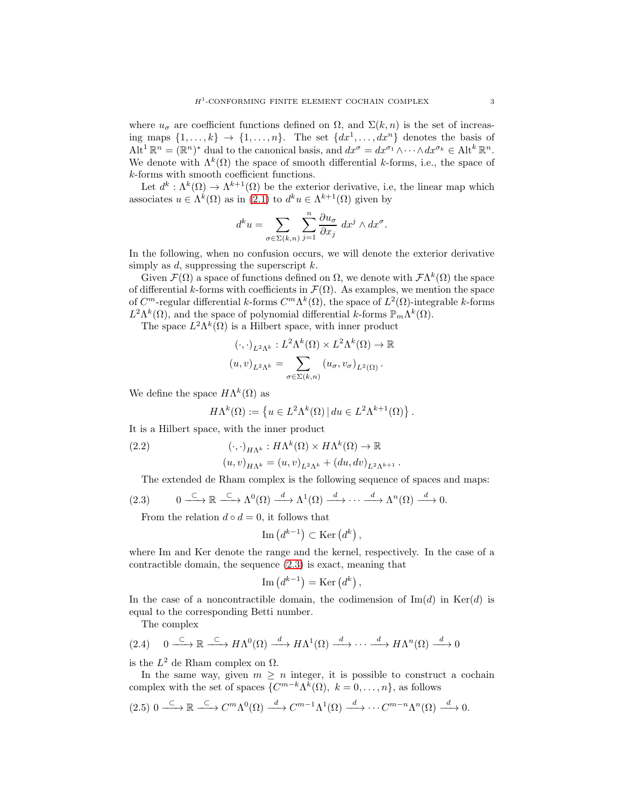where  $u_{\sigma}$  are coefficient functions defined on  $\Omega$ , and  $\Sigma(k,n)$  is the set of increasing maps  $\{1,\ldots,k\} \to \{1,\ldots,n\}$ . The set  $\{dx^1,\ldots,dx^n\}$  denotes the basis of  $\mathrm{Alt}^1 \mathbb{R}^n = (\mathbb{R}^n)^*$  dual to the canonical basis, and  $dx^\sigma = dx^{\sigma_1} \wedge \cdots \wedge dx^{\sigma_k} \in \mathrm{Alt}^k \mathbb{R}^n$ . We denote with  $\Lambda^k(\Omega)$  the space of smooth differential k-forms, i.e., the space of k-forms with smooth coefficient functions.

Let  $d^k: \Lambda^k(\Omega) \to \Lambda^{k+1}(\Omega)$  be the exterior derivative, i.e, the linear map which associates  $u \in \Lambda^k(\Omega)$  as in  $(2.1)$  to  $d^k u \in \Lambda^{k+1}(\Omega)$  given by

$$
d^k u = \sum_{\sigma \in \Sigma(k,n)} \sum_{j=1}^n \frac{\partial u_\sigma}{\partial x_j} dx^j \wedge dx^\sigma.
$$

In the following, when no confusion occurs, we will denote the exterior derivative simply as d, suppressing the superscript  $k$ .

Given  $\mathcal{F}(\Omega)$  a space of functions defined on  $\Omega$ , we denote with  $\mathcal{F}\Lambda^k(\Omega)$  the space of differential k-forms with coefficients in  $\mathcal{F}(\Omega)$ . As examples, we mention the space of  $C^m$ -regular differential k-forms  $C^m \Lambda^k(\Omega)$ , the space of  $L^2(\Omega)$ -integrable k-forms  $L^2 \Lambda^k(\Omega)$ , and the space of polynomial differential k-forms  $\mathbb{P}_m \Lambda^k(\Omega)$ .

The space  $L^2 \Lambda^k(\Omega)$  is a Hilbert space, with inner product

$$
(\cdot, \cdot)_{L^2\Lambda^k}: L^2\Lambda^k(\Omega) \times L^2\Lambda^k(\Omega) \to \mathbb{R}
$$

$$
(u, v)_{L^2\Lambda^k} = \sum_{\sigma \in \Sigma(k, n)} (u_\sigma, v_\sigma)_{L^2(\Omega)}.
$$

We define the space  $H\Lambda^k(\Omega)$  as

$$
H\Lambda^{k}(\Omega) := \left\{ u \in L^{2}\Lambda^{k}(\Omega) \, | \, du \in L^{2}\Lambda^{k+1}(\Omega) \right\}.
$$

It is a Hilbert space, with the inner product

<span id="page-2-3"></span>(2.2) 
$$
(\cdot, \cdot)_{H\Lambda^k}: H\Lambda^k(\Omega) \times H\Lambda^k(\Omega) \to \mathbb{R}
$$

$$
(u, v)_{H\Lambda^k} = (u, v)_{L^2\Lambda^k} + (du, dv)_{L^2\Lambda^{k+1}}.
$$

The extended de Rham complex is the following sequence of spaces and maps:

<span id="page-2-0"></span>
$$
(2.3) \qquad 0 \longrightarrow \mathbb{R} \longrightarrow \Lambda^0(\Omega) \longrightarrow \Lambda^1(\Omega) \longrightarrow \cdots \longrightarrow \Lambda^n(\Omega) \longrightarrow 0.
$$

From the relation  $d \circ d = 0$ , it follows that

$$
\mathrm{Im}\left(d^{k-1}\right) \subset \mathrm{Ker}\left(d^{k}\right),\,
$$

where Im and Ker denote the range and the kernel, respectively. In the case of a contractible domain, the sequence [\(2.3\)](#page-2-0) is exact, meaning that

$$
\mathrm{Im}\left(d^{k-1}\right) = \mathrm{Ker}\left(d^k\right),\,
$$

In the case of a noncontractible domain, the codimension of  $\text{Im}(d)$  in  $\text{Ker}(d)$  is equal to the corresponding Betti number.

The complex

<span id="page-2-2"></span>
$$
(2.4) \quad 0 \xrightarrow{\subset} \mathbb{R} \xrightarrow{\subset} H\Lambda^0(\Omega) \xrightarrow{d} H\Lambda^1(\Omega) \xrightarrow{d} \cdots \xrightarrow{d} H\Lambda^n(\Omega) \xrightarrow{d} 0
$$

is the  $L^2$  de Rham complex on  $\Omega$ .

In the same way, given  $m \geq n$  integer, it is possible to construct a cochain complex with the set of spaces  $\{C^{m-k}\Lambda^k(\Omega), k=0,\ldots,n\}$ , as follows

<span id="page-2-1"></span>
$$
(2.5) \ 0 \xrightarrow{\subset} \mathbb{R} \xrightarrow{\subset} C^m \Lambda^0(\Omega) \xrightarrow{d} C^{m-1} \Lambda^1(\Omega) \xrightarrow{d} \cdots C^{m-n} \Lambda^n(\Omega) \xrightarrow{d} 0.
$$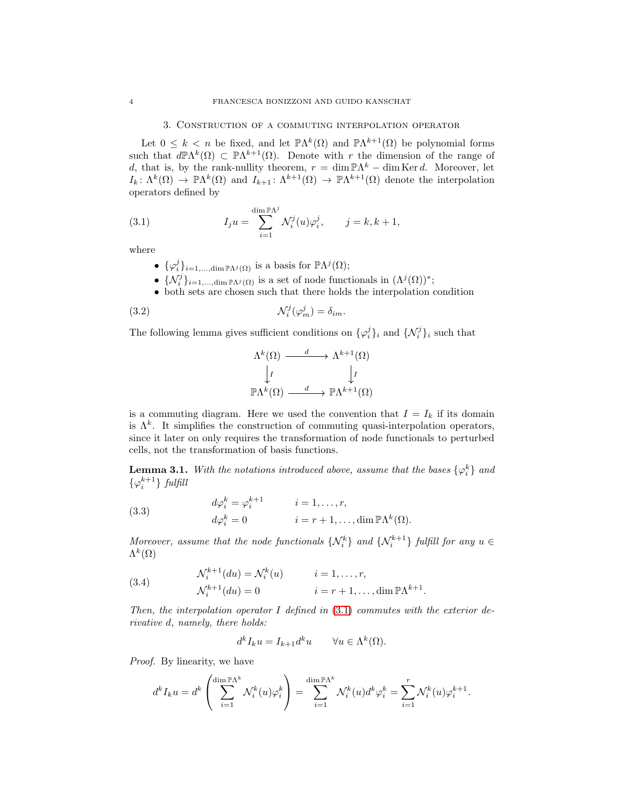#### 3. Construction of a commuting interpolation operator

<span id="page-3-0"></span>Let  $0 \leq k < n$  be fixed, and let  $\mathbb{P}\Lambda^k(\Omega)$  and  $\mathbb{P}\Lambda^{k+1}(\Omega)$  be polynomial forms such that  $d\mathbb{P}\Lambda^k(\Omega) \subset \mathbb{P}\Lambda^{k+1}(\Omega)$ . Denote with r the dimension of the range of d, that is, by the rank-nullity theorem,  $r = \dim \mathbb{P}\Lambda^k - \dim \text{Ker } d$ . Moreover, let  $I_k: \Lambda^k(\Omega) \to \mathbb{P}\Lambda^k(\Omega)$  and  $I_{k+1}: \Lambda^{k+1}(\Omega) \to \mathbb{P}\Lambda^{k+1}(\Omega)$  denote the interpolation operators defined by

<span id="page-3-1"></span>(3.1) 
$$
I_j u = \sum_{i=1}^{\dim \mathbb{P}\Lambda^j} \mathcal{N}_i^j(u) \varphi_i^j, \qquad j = k, k+1,
$$

where

- $\{\varphi_i^j\}_{i=1,\dots,\dim{\mathbb{P}\Lambda}^j(\Omega)}$  is a basis for  $\mathbb{P}\Lambda^j(\Omega)$ ;
- $\{\mathcal{N}_i^j\}_{i=1,\dots,\dim{\mathbb{P}}\Lambda^j(\Omega)}$  is a set of node functionals in  $(\Lambda^j(\Omega))^*$ ;
- both sets are chosen such that there holds the interpolation condition

<span id="page-3-3"></span>(3.2) 
$$
\mathcal{N}_i^j(\varphi_m^j) = \delta_{im}.
$$

The following lemma gives sufficient conditions on  $\{\varphi_i^j\}_i$  and  $\{\mathcal{N}_i^j\}_i$  such that

$$
\Lambda^k(\Omega) \xrightarrow{d} \Lambda^{k+1}(\Omega)
$$
  
\n
$$
\downarrow I \qquad \qquad \downarrow I
$$
  
\n
$$
\mathbb{P}\Lambda^k(\Omega) \xrightarrow{d} \mathbb{P}\Lambda^{k+1}(\Omega)
$$

is a commuting diagram. Here we used the convention that  $I = I_k$  if its domain is  $\Lambda^k$ . It simplifies the construction of commuting quasi-interpolation operators, since it later on only requires the transformation of node functionals to perturbed cells, not the transformation of basis functions.

<span id="page-3-5"></span>**Lemma 3.1.** *With the notations introduced above, assume that the bases*  $\{\varphi_i^k\}$  *and*  $\{\varphi_i^{k+1}\}\$  *fulfill* 

<span id="page-3-4"></span>(3.3) 
$$
d\varphi_i^k = \varphi_i^{k+1} \qquad i = 1, ..., r,
$$

$$
d\varphi_i^k = 0 \qquad i = r+1, ..., \dim \mathbb{P}\Lambda^k(\Omega).
$$

*Moreover, assume that the node functionals*  $\{N_i^k\}$  *and*  $\{N_i^{k+1}\}$  *fulfill for any*  $u \in$  $\Lambda^k(\Omega)$ 

<span id="page-3-2"></span>(3.4) 
$$
\mathcal{N}_i^{k+1}(du) = \mathcal{N}_i^k(u) \qquad i = 1, \dots, r,
$$

$$
\mathcal{N}_i^{k+1}(du) = 0 \qquad i = r+1, \dots, \dim \mathbb{P}\Lambda^{k+1}.
$$

*Then, the interpolation operator* I *defined in* [\(3.1\)](#page-3-1) *commutes with the exterior derivative* d*, namely, there holds:*

$$
d^k I_k u = I_{k+1} d^k u \qquad \forall u \in \Lambda^k(\Omega).
$$

*Proof.* By linearity, we have

$$
d^k I_k u = d^k \left( \sum_{i=1}^{\dim \mathbb{P} \Lambda^k} \mathcal{N}_i^k(u) \varphi_i^k \right) = \sum_{i=1}^{\dim \mathbb{P} \Lambda^k} \mathcal{N}_i^k(u) d^k \varphi_i^k = \sum_{i=1}^r \mathcal{N}_i^k(u) \varphi_i^{k+1}.
$$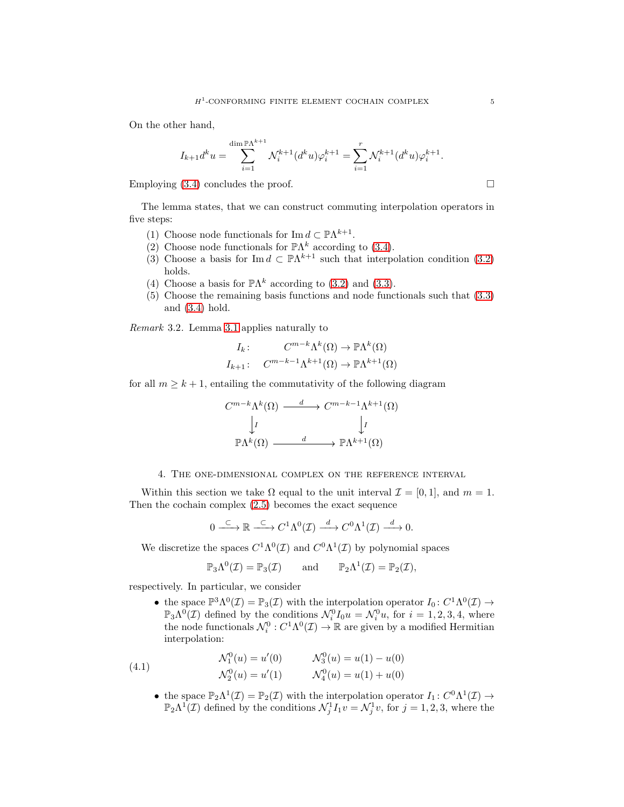On the other hand,

$$
I_{k+1}d^ku=\sum_{i=1}^{\dim \mathbb{P}\Lambda^{k+1}}\mathcal{N}_i^{k+1}(d^ku)\varphi_i^{k+1}=\sum_{i=1}^r\mathcal{N}_i^{k+1}(d^ku)\varphi_i^{k+1}.
$$

Employing  $(3.4)$  concludes the proof.  $\Box$ 

The lemma states, that we can construct commuting interpolation operators in five steps:

- (1) Choose node functionals for  $\text{Im } d \subset \mathbb{P}\Lambda^{k+1}$ .
- (2) Choose node functionals for  $\mathbb{P}\Lambda^k$  according to [\(3.4\)](#page-3-2).
- (3) Choose a basis for Im  $d \subset \mathbb{P}\Lambda^{k+1}$  such that interpolation condition [\(3.2\)](#page-3-3) holds.
- (4) Choose a basis for  $\mathbb{P}\Lambda^k$  according to [\(3.2\)](#page-3-3) and [\(3.3\)](#page-3-4).
- (5) Choose the remaining basis functions and node functionals such that [\(3.3\)](#page-3-4) and [\(3.4\)](#page-3-2) hold.

*Remark* 3.2*.* Lemma [3.1](#page-3-5) applies naturally to

$$
I_k: C^{m-k}\Lambda^k(\Omega) \to \mathbb{P}\Lambda^k(\Omega)
$$

$$
I_{k+1}: C^{m-k-1}\Lambda^{k+1}(\Omega) \to \mathbb{P}\Lambda^{k+1}(\Omega)
$$

for all  $m \geq k+1$ , entailing the commutativity of the following diagram

$$
C^{m-k}\Lambda^k(\Omega) \xrightarrow{d} C^{m-k-1}\Lambda^{k+1}(\Omega)
$$

$$
\downarrow I \qquad \qquad \downarrow I
$$

$$
\mathbb{P}\Lambda^k(\Omega) \xrightarrow{d} \mathbb{P}\Lambda^{k+1}(\Omega)
$$

## 4. The one-dimensional complex on the reference interval

<span id="page-4-0"></span>Within this section we take  $\Omega$  equal to the unit interval  $\mathcal{I} = [0,1]$ , and  $m = 1$ . Then the cochain complex [\(2.5\)](#page-2-1) becomes the exact sequence

$$
0 \xrightarrow{\subset} \mathbb{R} \xrightarrow{\subset} C^1 \Lambda^0(\mathcal{I}) \xrightarrow{d} C^0 \Lambda^1(\mathcal{I}) \xrightarrow{d} 0.
$$

We discretize the spaces  $C^1 \Lambda^0(\mathcal{I})$  and  $C^0 \Lambda^1(\mathcal{I})$  by polynomial spaces

$$
\mathbb{P}_{3}\Lambda^{0}(\mathcal{I}) = \mathbb{P}_{3}(\mathcal{I}) \quad \text{and} \quad \mathbb{P}_{2}\Lambda^{1}(\mathcal{I}) = \mathbb{P}_{2}(\mathcal{I}),
$$

respectively. In particular, we consider

• the space  $\mathbb{P}^3 \Lambda^0(\mathcal{I}) = \mathbb{P}_3(\mathcal{I})$  with the interpolation operator  $I_0: C^1 \Lambda^0(\mathcal{I}) \to$  $\mathbb{P}_3\Lambda^0(\mathcal{I})$  defined by the conditions  $\mathcal{N}_i^0 I_0 u = \mathcal{N}_i^0 u$ , for  $i = 1, 2, 3, 4$ , where the node functionals  $\mathcal{N}_i^0$  :  $C^1\Lambda^0(\mathcal{I}) \to \mathbb{R}$  are given by a modified Hermitian interpolation:

<span id="page-4-1"></span>(4.1) 
$$
\mathcal{N}_1^0(u) = u'(0) \qquad \mathcal{N}_3^0(u) = u(1) - u(0) \n\mathcal{N}_2^0(u) = u'(1) \qquad \mathcal{N}_4^0(u) = u(1) + u(0)
$$

• the space  $\mathbb{P}_2\Lambda^1(\mathcal{I}) = \mathbb{P}_2(\mathcal{I})$  with the interpolation operator  $I_1: C^0\Lambda^1(\mathcal{I}) \to$  $\mathbb{P}_2\Lambda^1(\mathcal{I})$  defined by the conditions  $\mathcal{N}_j^1I_1v = \mathcal{N}_j^1v$ , for  $j = 1, 2, 3$ , where the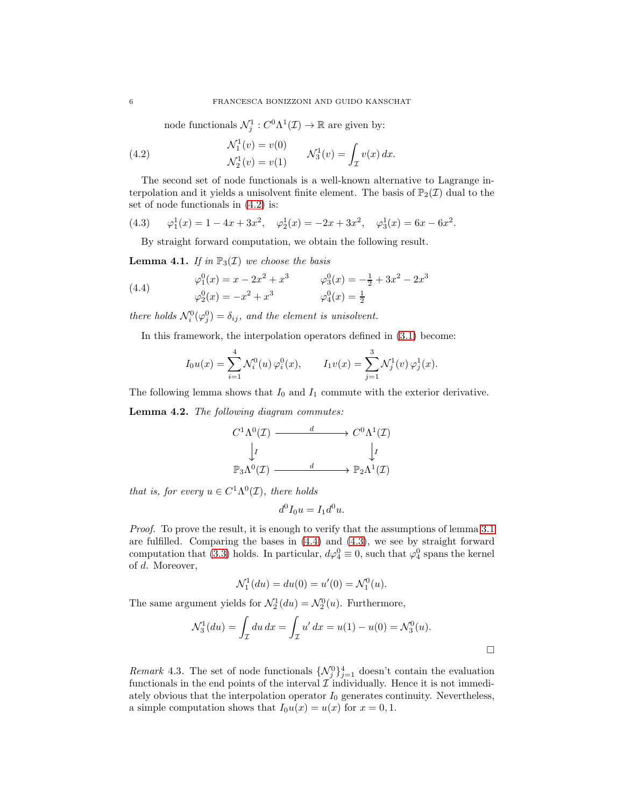node functionals  $\mathcal{N}_j^1 : C^0 \Lambda^1(\mathcal{I}) \to \mathbb{R}$  are given by:

<span id="page-5-0"></span>(4.2) 
$$
\mathcal{N}_1^1(v) = v(0) \n\mathcal{N}_2^1(v) = v(1) \n\mathcal{N}_3^1(v) = \int_{\mathcal{I}} v(x) dx.
$$

The second set of node functionals is a well-known alternative to Lagrange interpolation and it yields a unisolvent finite element. The basis of  $\mathbb{P}_2(\mathcal{I})$  dual to the set of node functionals in [\(4.2\)](#page-5-0) is:

<span id="page-5-2"></span>(4.3) 
$$
\varphi_1^1(x) = 1 - 4x + 3x^2
$$
,  $\varphi_2^1(x) = -2x + 3x^2$ ,  $\varphi_3^1(x) = 6x - 6x^2$ .

By straight forward computation, we obtain the following result.

**Lemma 4.1.** *If in*  $\mathbb{P}_3(\mathcal{I})$  *we choose the basis* 

<span id="page-5-1"></span>(4.4) 
$$
\varphi_1^0(x) = x - 2x^2 + x^3 \qquad \varphi_3^0(x) = -\frac{1}{2} + 3x^2 - 2x^3
$$

$$
\varphi_2^0(x) = -x^2 + x^3 \qquad \varphi_4^0(x) = \frac{1}{2}
$$

*there holds*  $\mathcal{N}_i^0(\varphi_j^0) = \delta_{ij}$ *, and the element is unisolvent.* 

In this framework, the interpolation operators defined in [\(3.1\)](#page-3-1) become:

$$
I_0 u(x) = \sum_{i=1}^4 \mathcal{N}_i^0(u) \, \varphi_i^0(x), \qquad I_1 v(x) = \sum_{j=1}^3 \mathcal{N}_j^1(v) \, \varphi_j^1(x).
$$

The following lemma shows that  $I_0$  and  $I_1$  commute with the exterior derivative.

<span id="page-5-3"></span>Lemma 4.2. *The following diagram commutes:*

$$
C^{1}\Lambda^{0}(\mathcal{I}) \xrightarrow{d} C^{0}\Lambda^{1}(\mathcal{I})
$$
  
\n
$$
\downarrow I \qquad \qquad \downarrow I
$$
  
\n
$$
\mathbb{P}_{3}\Lambda^{0}(\mathcal{I}) \xrightarrow{d} \mathbb{P}_{2}\Lambda^{1}(\mathcal{I})
$$

*that is, for every*  $u \in C^1 \Lambda^0(\mathcal{I})$ *, there holds* 

$$
d^0I_0u = I_1d^0u.
$$

*Proof.* To prove the result, it is enough to verify that the assumptions of lemma [3.1](#page-3-5) are fulfilled. Comparing the bases in [\(4.4\)](#page-5-1) and [\(4.3\)](#page-5-2), we see by straight forward computation that [\(3.3\)](#page-3-4) holds. In particular,  $d\varphi_4^0 \equiv 0$ , such that  $\varphi_4^0$  spans the kernel of d. Moreover,

$$
\mathcal{N}_1^1(du) = du(0) = u'(0) = \mathcal{N}_1^0(u).
$$

The same argument yields for  $\mathcal{N}_2^1(du) = \mathcal{N}_2^0(u)$ . Furthermore,

$$
\mathcal{N}_3^1(du) = \int_{\mathcal{I}} du \, dx = \int_{\mathcal{I}} u' \, dx = u(1) - u(0) = \mathcal{N}_3^0(u).
$$

*Remark* 4.3. The set of node functionals  $\{ \mathcal{N}_j^0 \}_{j=1}^4$  doesn't contain the evaluation functionals in the end points of the interval  $\mathcal I$  individually. Hence it is not immediately obvious that the interpolation operator  $I_0$  generates continuity. Nevertheless, a simple computation shows that  $I_0u(x) = u(x)$  for  $x = 0, 1$ .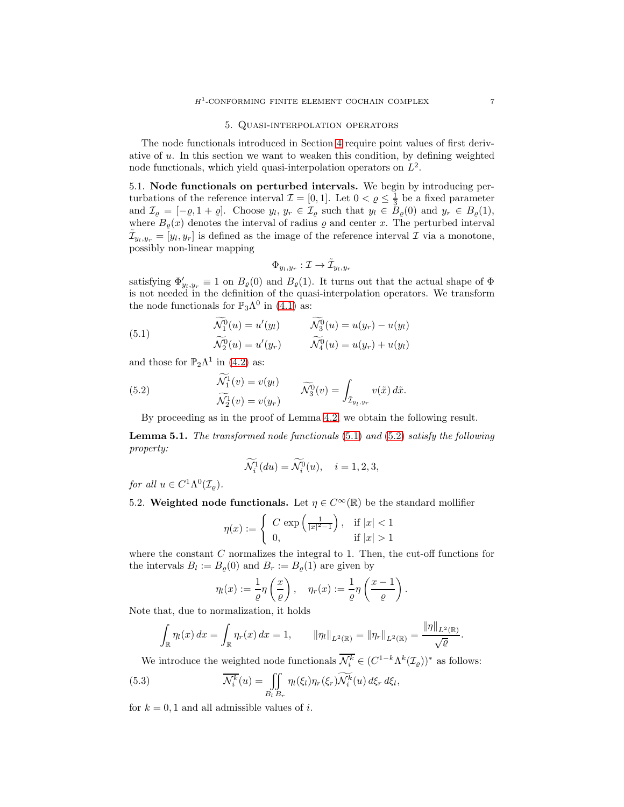#### 5. Quasi-interpolation operators

<span id="page-6-0"></span>The node functionals introduced in Section [4](#page-4-0) require point values of first derivative of  $u$ . In this section we want to weaken this condition, by defining weighted node functionals, which yield quasi-interpolation operators on  $L^2$ .

5.1. Node functionals on perturbed intervals. We begin by introducing perturbations of the reference interval  $\mathcal{I} = [0, 1]$ . Let  $0 < \varrho \leq \frac{1}{3}$  be a fixed parameter and  $\mathcal{I}_{\varrho} = [-\varrho, 1 + \varrho]$ . Choose  $y_l, y_r \in \mathcal{I}_{\varrho}$  such that  $y_l \in B_{\varrho}(0)$  and  $y_r \in B_{\varrho}(1)$ , where  $B_{\varrho}(x)$  denotes the interval of radius  $\varrho$  and center x. The perturbed interval  $\tilde{\mathcal{I}}_{y_l, y_r} = [y_l, y_r]$  is defined as the image of the reference interval  $\mathcal I$  via a monotone, possibly non-linear mapping

$$
\Phi_{y_l,y_r}:\mathcal{I}\to\tilde{\mathcal{I}}_{y_l,y_r}
$$

satisfying  $\Phi'_{y_l, y_r} \equiv 1$  on  $B_{\varrho}(0)$  and  $B_{\varrho}(1)$ . It turns out that the actual shape of  $\Phi$ is not needed in the definition of the quasi-interpolation operators. We transform the node functionals for  $\mathbb{P}_3\Lambda^0$  in [\(4.1\)](#page-4-1) as:

<span id="page-6-1"></span>(5.1) 
$$
\begin{aligned}\n\widetilde{\mathcal{N}_1^0}(u) &= u'(y_l) & \widetilde{\mathcal{N}_3^0}(u) &= u(y_r) - u(y_l) \\
\widetilde{\mathcal{N}_2^0}(u) &= u'(y_r) & \widetilde{\mathcal{N}_4^0}(u) &= u(y_r) + u(y_l)\n\end{aligned}
$$

and those for  $\mathbb{P}_2\Lambda^1$  in [\(4.2\)](#page-5-0) as:

<span id="page-6-2"></span>(5.2) 
$$
\begin{aligned}\n\mathcal{N}_1^1(v) &= v(y_l) \\
\widetilde{\mathcal{N}_2^1}(v) &= v(y_r)\n\end{aligned}\n\qquad\n\begin{aligned}\n\widetilde{\mathcal{N}_3^0}(v) &= \int_{\tilde{\mathcal{I}}_{y_l, y_r}} v(\tilde{x}) d\tilde{x}.\n\end{aligned}
$$

By proceeding as in the proof of Lemma [4.2,](#page-5-3) we obtain the following result.

<span id="page-6-4"></span>Lemma 5.1. *The transformed node functionals* [\(5.1\)](#page-6-1) *and* [\(5.2\)](#page-6-2) *satisfy the following property:*

$$
\widetilde{\mathcal{N}_i^1}(du) = \widetilde{\mathcal{N}_i^0}(u), \quad i = 1, 2, 3,
$$

*for all*  $u \in C^1 \Lambda^0(\mathcal{I}_{\varrho})$ *.* 

5.2. Weighted node functionals. Let  $\eta \in C^{\infty}(\mathbb{R})$  be the standard mollifier

$$
\eta(x):=\left\{\begin{array}{ll} C\,\exp\left(\frac{1}{|x|^2-1}\right),&\text{if}\ |x|<1\\ 0,&\text{if}\ |x|>1\end{array}\right.
$$

where the constant  $C$  normalizes the integral to 1. Then, the cut-off functions for the intervals  $B_l := B_{\varrho}(0)$  and  $B_r := B_{\varrho}(1)$  are given by

$$
\eta_l(x) := \frac{1}{\varrho} \eta \left( \frac{x}{\varrho} \right), \quad \eta_r(x) := \frac{1}{\varrho} \eta \left( \frac{x-1}{\varrho} \right).
$$

Note that, due to normalization, it holds

$$
\int_{\mathbb{R}} \eta_l(x) dx = \int_{\mathbb{R}} \eta_r(x) dx = 1, \qquad \|\eta_l\|_{L^2(\mathbb{R})} = \|\eta_r\|_{L^2(\mathbb{R})} = \frac{\|\eta\|_{L^2(\mathbb{R})}}{\sqrt{\varrho}}.
$$

We introduce the weighted node functionals  $\mathcal{N}_i^k \in (C^{1-k} \Lambda^k(\mathcal{I}_{\varrho}))^*$  as follows:

<span id="page-6-3"></span>(5.3) 
$$
\overline{\mathcal{N}_i^k}(u) = \iint_{B_l} \eta_l(\xi_l) \eta_r(\xi_r) \widetilde{\mathcal{N}_i^k}(u) d\xi_r d\xi_l,
$$

for  $k = 0, 1$  and all admissible values of i.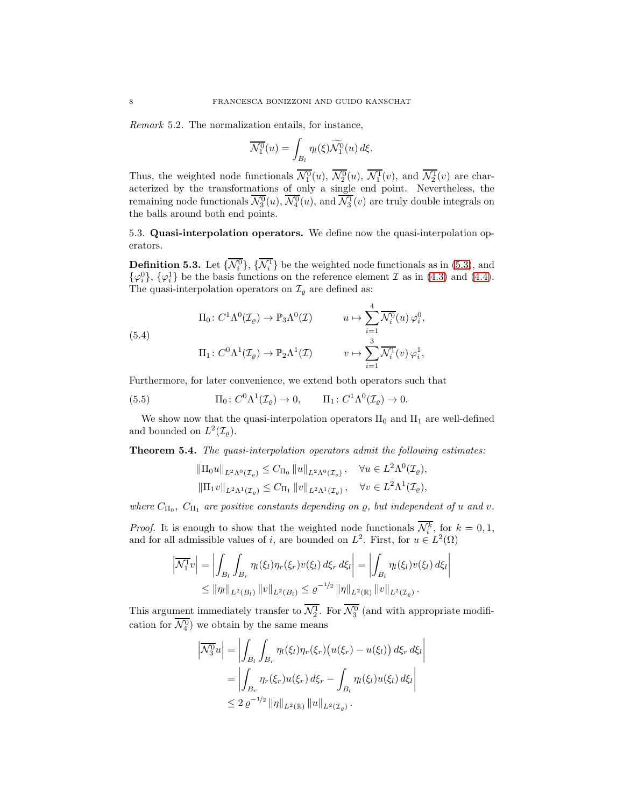*Remark* 5.2*.* The normalization entails, for instance,

$$
\overline{\mathcal{N}_1^0}(u) = \int_{B_l} \eta_l(\xi) \widetilde{\mathcal{N}_1^0}(u) d\xi.
$$

Thus, the weighted node functionals  $\mathcal{N}_1^0(u)$ ,  $\mathcal{N}_2^0(u)$ ,  $\mathcal{N}_1^1(v)$ , and  $\mathcal{N}_2^1(v)$  are characterized by the transformations of only a single end point. Nevertheless, the remaining node functionals  $\mathcal{N}_3^0(u)$ ,  $\mathcal{N}_4^0(u)$ , and  $\mathcal{N}_3^1(v)$  are truly double integrals on the balls around both end points.

<span id="page-7-1"></span>5.3. Quasi-interpolation operators. We define now the quasi-interpolation operators.

**Definition 5.3.** Let  $\{\mathcal{N}_i^0\}$ ,  $\{\mathcal{N}_i^1\}$  be the weighted node functionals as in [\(5.3\)](#page-6-3), and  $\{\varphi_i^0\}$ ,  $\{\varphi_i^1\}$  be the basis functions on the reference element  $\mathcal I$  as in [\(4.3\)](#page-5-2) and [\(4.4\)](#page-5-1). The quasi-interpolation operators on  $\mathcal{I}_{\varrho}$  are defined as:

<span id="page-7-0"></span>(5.4)  
\n
$$
\Pi_0: C^1 \Lambda^0(\mathcal{I}_{\varrho}) \to \mathbb{P}_3 \Lambda^0(\mathcal{I}) \qquad u \mapsto \sum_{i=1}^4 \overline{\mathcal{N}_i^0}(u) \varphi_i^0,
$$
\n
$$
\Pi_1: C^0 \Lambda^1(\mathcal{I}_{\varrho}) \to \mathbb{P}_2 \Lambda^1(\mathcal{I}) \qquad v \mapsto \sum_{i=1}^3 \overline{\mathcal{N}_i^1}(v) \varphi_i^1,
$$

Furthermore, for later convenience, we extend both operators such that

<span id="page-7-2"></span>(5.5) 
$$
\Pi_0: C^0 \Lambda^1(\mathcal{I}_{\varrho}) \to 0, \qquad \Pi_1: C^1 \Lambda^0(\mathcal{I}_{\varrho}) \to 0.
$$

We show now that the quasi-interpolation operators  $\Pi_0$  and  $\Pi_1$  are well-defined and bounded on  $L^2(\mathcal{I}_{\varrho}).$ 

<span id="page-7-3"></span>Theorem 5.4. *The quasi-interpolation operators admit the following estimates:*

$$
\begin{aligned} &\|\Pi_0 u\|_{L^2\Lambda^0(\mathcal{I}_{\varrho})} \leq C_{\Pi_0} \left\|u\right\|_{L^2\Lambda^0(\mathcal{I}_{\varrho})}, & \forall u \in L^2\Lambda^0(\mathcal{I}_{\varrho}), \\ &\|\Pi_1 v\|_{L^2\Lambda^1(\mathcal{I}_{\varrho})} \leq C_{\Pi_1} \left\|v\right\|_{L^2\Lambda^1(\mathcal{I}_{\varrho})}, & \forall v \in L^2\Lambda^1(\mathcal{I}_{\varrho}), \end{aligned}
$$

where  $C_{\Pi_0}$ ,  $C_{\Pi_1}$  are positive constants depending on  $\rho$ , but independent of u and v.

*Proof.* It is enough to show that the weighted node functionals  $\mathcal{N}_i^k$ , for  $k = 0, 1$ , and for all admissible values of *i*, are bounded on  $L^2$ . First, for  $u \in L^2(\Omega)$ 

$$
\left| \overline{\mathcal{N}_1^1} v \right| = \left| \int_{B_l} \int_{B_r} \eta_l(\xi_l) \eta_r(\xi_r) v(\xi_l) \, d\xi_r \, d\xi_l \right| = \left| \int_{B_l} \eta_l(\xi_l) v(\xi_l) \, d\xi_l \right|
$$
  

$$
\leq ||\eta_l||_{L^2(B_l)} ||v||_{L^2(B_l)} \leq \varrho^{-1/2} ||\eta||_{L^2(\mathbb{R})} ||v||_{L^2(\mathcal{I}_{\varrho})}.
$$

This argument immediately transfer to  $\mathcal{N}_2^1$ . For  $\mathcal{N}_3^0$  (and with appropriate modification for  $\mathcal{N}_4^0$ ) we obtain by the same means

> $\overline{\phantom{a}}$  $\overline{\phantom{a}}$  $\overline{\phantom{a}}$  $\overline{\phantom{a}}$

$$
\left|\overline{\mathcal{N}_3^0}u\right| = \left|\int_{B_l}\int_{B_r} \eta_l(\xi_l)\eta_r(\xi_r)\left(u(\xi_r) - u(\xi_l)\right)d\xi_r d\xi_l\right|
$$
  
= 
$$
\left|\int_{B_r} \eta_r(\xi_r)u(\xi_r) d\xi_r - \int_{B_l} \eta_l(\xi_l)u(\xi_l) d\xi_l\right|
$$
  

$$
\leq 2 \varrho^{-1/2} \|\eta\|_{L^2(\mathbb{R})} \|u\|_{L^2(\mathcal{I}_\varrho)}.
$$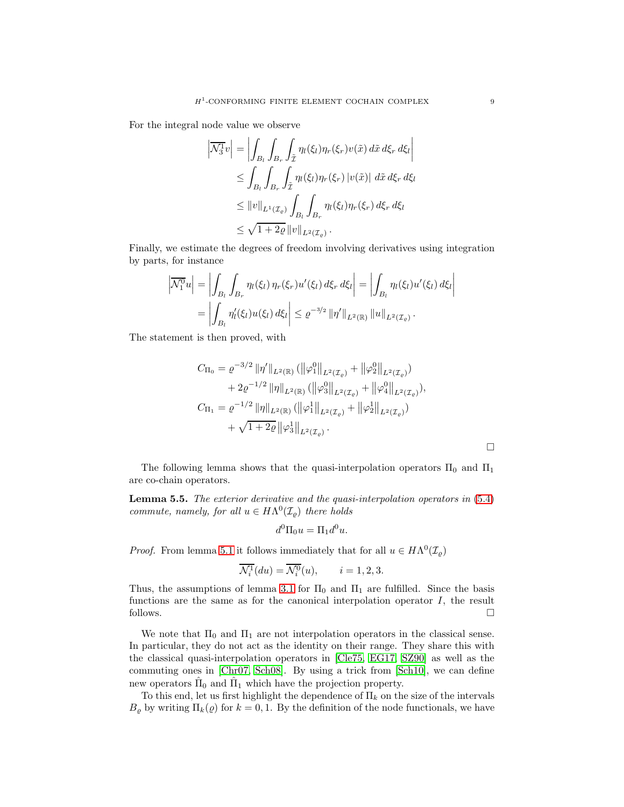For the integral node value we observe

$$
\left| \overline{\mathcal{N}_3^1} v \right| = \left| \int_{B_l} \int_{B_r} \int_{\tilde{\mathcal{I}}} \eta_l(\xi_l) \eta_r(\xi_r) v(\tilde{x}) \, d\tilde{x} \, d\xi_r \, d\xi_l \right|
$$
  
\n
$$
\leq \int_{B_l} \int_{B_r} \int_{\tilde{\mathcal{I}}} \eta_l(\xi_l) \eta_r(\xi_r) \left| v(\tilde{x}) \right| \, d\tilde{x} \, d\xi_r \, d\xi_l
$$
  
\n
$$
\leq \|v\|_{L^1(\mathcal{I}_{\varrho})} \int_{B_l} \int_{B_r} \eta_l(\xi_l) \eta_r(\xi_r) \, d\xi_r \, d\xi_l
$$
  
\n
$$
\leq \sqrt{1 + 2\varrho} \|v\|_{L^2(\mathcal{I}_{\varrho})} .
$$

Finally, we estimate the degrees of freedom involving derivatives using integration by parts, for instance

$$
\left| \overline{\mathcal{N}_1^0} u \right| = \left| \int_{B_l} \int_{B_r} \eta_l(\xi_l) \, \eta_r(\xi_r) u'(\xi_l) \, d\xi_r \, d\xi_l \right| = \left| \int_{B_l} \eta_l(\xi_l) u'(\xi_l) \, d\xi_l \right| \n= \left| \int_{B_l} \eta'_l(\xi_l) u(\xi_l) \, d\xi_l \right| \leq \varrho^{-3/2} \left| \|\eta'\|_{L^2(\mathbb{R})} \left\| u \right\|_{L^2(\mathcal{I}_{\varrho})}.
$$

The statement is then proved, with

$$
C_{\Pi_0} = \varrho^{-3/2} \|\eta'\|_{L^2(\mathbb{R})} \left( \|\varphi_1^0\|_{L^2(\mathcal{I}_{\varrho})} + \|\varphi_2^0\|_{L^2(\mathcal{I}_{\varrho})} \right) + 2\varrho^{-1/2} \|\eta\|_{L^2(\mathbb{R})} \left( \|\varphi_3^0\|_{L^2(\mathcal{I}_{\varrho})} + \|\varphi_4^0\|_{L^2(\mathcal{I}_{\varrho})} \right), C_{\Pi_1} = \varrho^{-1/2} \|\eta\|_{L^2(\mathbb{R})} \left( \|\varphi_1^1\|_{L^2(\mathcal{I}_{\varrho})} + \|\varphi_2^1\|_{L^2(\mathcal{I}_{\varrho})} \right) + \sqrt{1+2\varrho} \|\varphi_3^1\|_{L^2(\mathcal{I}_{\varrho})}.
$$

The following lemma shows that the quasi-interpolation operators  $\Pi_0$  and  $\Pi_1$ are co-chain operators.

<span id="page-8-0"></span>Lemma 5.5. *The exterior derivative and the quasi-interpolation operators in* [\(5.4\)](#page-7-0) *commute, namely, for all*  $u \in H\Lambda^0(\mathcal{I}_{\varrho})$  *there holds* 

$$
d^0\Pi_0 u = \Pi_1 d^0 u.
$$

*Proof.* From lemma [5.1](#page-6-4) it follows immediately that for all  $u \in H\Lambda^0(\mathcal{I}_{\varrho})$ 

$$
\overline{\mathcal{N}_i^1}(du) = \overline{\mathcal{N}_i^0}(u), \qquad i = 1, 2, 3.
$$

Thus, the assumptions of lemma [3.1](#page-3-5) for  $\Pi_0$  and  $\Pi_1$  are fulfilled. Since the basis functions are the same as for the canonical interpolation operator  $I$ , the result follows.  $\Box$ 

We note that  $\Pi_0$  and  $\Pi_1$  are not interpolation operators in the classical sense. In particular, they do not act as the identity on their range. They share this with the classical quasi-interpolation operators in [\[Cle75,](#page-18-16) [EG17,](#page-18-17) [SZ90\]](#page-18-18) as well as the commuting ones in [\[Chr07,](#page-18-19) [Sch08\]](#page-18-13). By using a trick from [\[Sch10\]](#page-18-14), we can define new operators  $\hat{\Pi}_0$  and  $\hat{\Pi}_1$  which have the projection property.

To this end, let us first highlight the dependence of  $\Pi_k$  on the size of the intervals  $B_{\varrho}$  by writing  $\Pi_k(\varrho)$  for  $k = 0, 1$ . By the definition of the node functionals, we have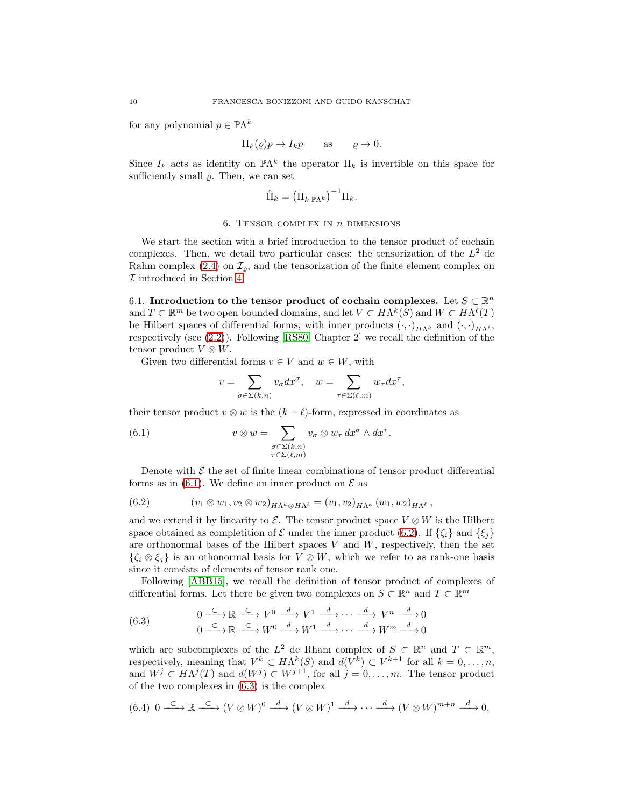for any polynomial  $p \in \mathbb{P}\Lambda^k$ 

$$
\Pi_k(\varrho)p \to I_k p \qquad \text{as} \qquad \varrho \to 0.
$$

Since  $I_k$  acts as identity on  $\mathbb{P}\Lambda^k$  the operator  $\Pi_k$  is invertible on this space for sufficiently small  $\rho$ . Then, we can set

$$
\hat{\Pi}_k = \left(\Pi_{k|\mathbb{P}\Lambda^k}\right)^{-1} \Pi_k.
$$

#### 6. TENSOR COMPLEX IN  $n$  DIMENSIONS

<span id="page-9-0"></span>We start the section with a brief introduction to the tensor product of cochain complexes. Then, we detail two particular cases: the tensorization of the  $L^2$  de Rahm complex [\(2.4\)](#page-2-2) on  $\mathcal{I}_{\rho}$ , and the tensorization of the finite element complex on  $\mathcal I$  introduced in Section [4.](#page-4-0)

6.1. Introduction to the tensor product of cochain complexes. Let  $S \subset \mathbb{R}^n$ and  $T \subset \mathbb{R}^m$  be two open bounded domains, and let  $V \subset H\Lambda^k(S)$  and  $W \subset H\Lambda^{\ell}(T)$ be Hilbert spaces of differential forms, with inner products  $(\cdot, \cdot)_{H\Lambda^k}$  and  $(\cdot, \cdot)_{H\Lambda^\ell}$ , respectively (see  $(2.2)$ ). Following [\[RS80,](#page-18-20) Chapter 2] we recall the definition of the tensor product  $V \otimes W$ .

Given two differential forms  $v \in V$  and  $w \in W$ , with

$$
v = \sum_{\sigma \in \Sigma (k,n)} v_{\sigma} dx^{\sigma}, \quad w = \sum_{\tau \in \Sigma (\ell,m)} w_{\tau} dx^{\tau},
$$

their tensor product  $v \otimes w$  is the  $(k + \ell)$ -form, expressed in coordinates as

<span id="page-9-1"></span>(6.1) 
$$
v \otimes w = \sum_{\substack{\sigma \in \Sigma(k,n) \\ \tau \in \Sigma(\ell,m)}} v_{\sigma} \otimes w_{\tau} dx^{\sigma} \wedge dx^{\tau}.
$$

Denote with  $\mathcal E$  the set of finite linear combinations of tensor product differential forms as in [\(6.1\)](#page-9-1). We define an inner product on  $\mathcal E$  as

<span id="page-9-2"></span>
$$
(6.2) \t\t\t (v_1 \otimes w_1, v_2 \otimes w_2)_{H\Lambda^k \otimes H\Lambda^\ell} = (v_1, v_2)_{H\Lambda^k} (w_1, w_2)_{H\Lambda^\ell},
$$

and we extend it by linearity to  $\mathcal{E}$ . The tensor product space  $V \otimes W$  is the Hilbert space obtained as completition of  $\mathcal E$  under the inner product [\(6.2\)](#page-9-2). If  $\{\zeta_i\}$  and  $\{\xi_i\}$ are orthonormal bases of the Hilbert spaces  $V$  and  $W$ , respectively, then the set  $\{\zeta_i \otimes \xi_j\}$  is an othonormal basis for  $V \otimes W$ , which we refer to as rank-one basis since it consists of elements of tensor rank one.

Following [\[ABB15\]](#page-17-0), we recall the definition of tensor product of complexes of differential forms. Let there be given two complexes on  $S \subset \mathbb{R}^n$  and  $T \subset \mathbb{R}^m$ 

<span id="page-9-3"></span>(6.3) 
$$
0 \xrightarrow{\subset} \mathbb{R} \xrightarrow{\subset} V^0 \xrightarrow{d} V^1 \xrightarrow{d} \cdots \xrightarrow{d} V^n \xrightarrow{d} 0
$$

$$
0 \xrightarrow{\subset} \mathbb{R} \xrightarrow{\subset} W^0 \xrightarrow{d} W^1 \xrightarrow{d} \cdots \xrightarrow{d} W^m \xrightarrow{d} 0
$$

which are subcomplexes of the  $L^2$  de Rham complex of  $S \subset \mathbb{R}^n$  and  $T \subset \mathbb{R}^m$ , respectively, meaning that  $V^k \subset H\Lambda^k(S)$  and  $d(V^k) \subset V^{k+1}$  for all  $k = 0, \ldots, n$ , and  $W^j \subset H\Lambda^j(T)$  and  $d(W^j) \subset W^{j+1}$ , for all  $j = 0, \ldots, m$ . The tensor product of the two complexes in [\(6.3\)](#page-9-3) is the complex

<span id="page-9-4"></span>
$$
(6.4) \ 0 \longrightarrow \mathbb{R} \longrightarrow (\mathbb{V} \otimes W)^{0} \longrightarrow (\mathbb{V} \otimes W)^{1} \longrightarrow \cdots \longrightarrow (\mathbb{V} \otimes W)^{m+n} \longrightarrow 0,
$$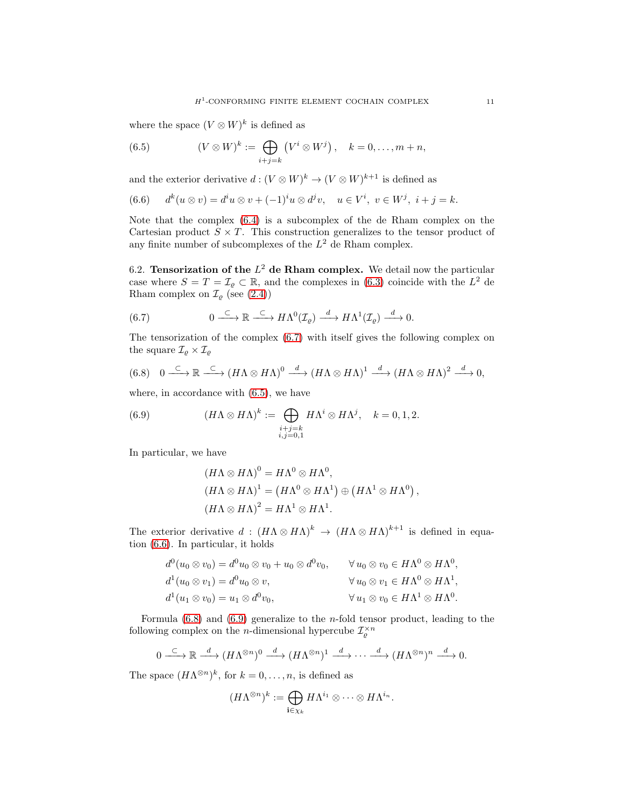where the space  $(V \otimes W)^k$  is defined as

<span id="page-10-1"></span>(6.5) 
$$
(V \otimes W)^k := \bigoplus_{i+j=k} (V^i \otimes W^j), \quad k = 0, \ldots, m+n,
$$

and the exterior derivative  $d: (V \otimes W)^k \to (V \otimes W)^{k+1}$  is defined as

<span id="page-10-2"></span>
$$
(6.6) \t dk(u \otimes v) = diu \otimes v + (-1)iu \otimes djv, \t u \in Vi, v \in Wj, i + j = k.
$$

Note that the complex [\(6.4\)](#page-9-4) is a subcomplex of the de Rham complex on the Cartesian product  $S \times T$ . This construction generalizes to the tensor product of any finite number of subcomplexes of the  $L^2$  de Rham complex.

6.2. Tensorization of the  $L^2$  de Rham complex. We detail now the particular case where  $S = T = \mathcal{I}_{\varrho} \subset \mathbb{R}$ , and the complexes in [\(6.3\)](#page-9-3) coincide with the  $L^2$  de Rham complex on  $\mathcal{I}_{\varrho}$  (see [\(2.4\)](#page-2-2))

<span id="page-10-0"></span>(6.7) 
$$
0 \xrightarrow{\subset} \mathbb{R} \xrightarrow{\subset} H\Lambda^0(\mathcal{I}_{\varrho}) \xrightarrow{d} H\Lambda^1(\mathcal{I}_{\varrho}) \xrightarrow{d} 0.
$$

The tensorization of the complex [\(6.7\)](#page-10-0) with itself gives the following complex on the square  $\mathcal{I}_{\varrho} \times \mathcal{I}_{\varrho}$ 

<span id="page-10-3"></span>
$$
(6.8) \quad 0 \xrightarrow{\subset} \mathbb{R} \xrightarrow{\subset} (H\Lambda \otimes H\Lambda)^0 \xrightarrow{d} (H\Lambda \otimes H\Lambda)^1 \xrightarrow{d} (H\Lambda \otimes H\Lambda)^2 \xrightarrow{d} 0,
$$

where, in accordance with [\(6.5\)](#page-10-1), we have

<span id="page-10-4"></span>(6.9) 
$$
(H\Lambda \otimes H\Lambda)^k := \bigoplus_{\substack{i+j=k\\i,j=0,1}} H\Lambda^i \otimes H\Lambda^j, \quad k=0,1,2.
$$

In particular, we have

$$
(H\Lambda \otimes H\Lambda)^0 = H\Lambda^0 \otimes H\Lambda^0,
$$
  
\n
$$
(H\Lambda \otimes H\Lambda)^1 = (H\Lambda^0 \otimes H\Lambda^1) \oplus (H\Lambda^1 \otimes H\Lambda^0),
$$
  
\n
$$
(H\Lambda \otimes H\Lambda)^2 = H\Lambda^1 \otimes H\Lambda^1.
$$

The exterior derivative  $d : (H\Lambda \otimes H\Lambda)^k \to (H\Lambda \otimes H\Lambda)^{k+1}$  is defined in equation [\(6.6\)](#page-10-2). In particular, it holds

$$
d^{0}(u_{0} \otimes v_{0}) = d^{0}u_{0} \otimes v_{0} + u_{0} \otimes d^{0}v_{0}, \qquad \forall u_{0} \otimes v_{0} \in H\Lambda^{0} \otimes H\Lambda^{0},
$$
  
\n
$$
d^{1}(u_{0} \otimes v_{1}) = d^{0}u_{0} \otimes v,
$$
  
\n
$$
d^{1}(u_{1} \otimes v_{0}) = u_{1} \otimes d^{0}v_{0}, \qquad \forall u_{1} \otimes v_{0} \in H\Lambda^{1} \otimes H\Lambda^{0}.
$$

Formula  $(6.8)$  and  $(6.9)$  generalize to the *n*-fold tensor product, leading to the following complex on the *n*-dimensional hypercube  $\mathcal{I}_{\varrho}^{\times n}$ 

$$
0 \xrightarrow{\subset} \mathbb{R} \xrightarrow{d} (H\Lambda^{\otimes n})^0 \xrightarrow{d} (H\Lambda^{\otimes n})^1 \xrightarrow{d} \cdots \xrightarrow{d} (H\Lambda^{\otimes n})^n \xrightarrow{d} 0.
$$

The space  $(H\Lambda^{\otimes n})^k$ , for  $k=0,\ldots,n$ , is defined as

$$
(H\Lambda^{\otimes n})^k:=\bigoplus_{{\mathbf i}\in \chi_k}H\Lambda^{i_1}\otimes\cdots\otimes H\Lambda^{i_n}.
$$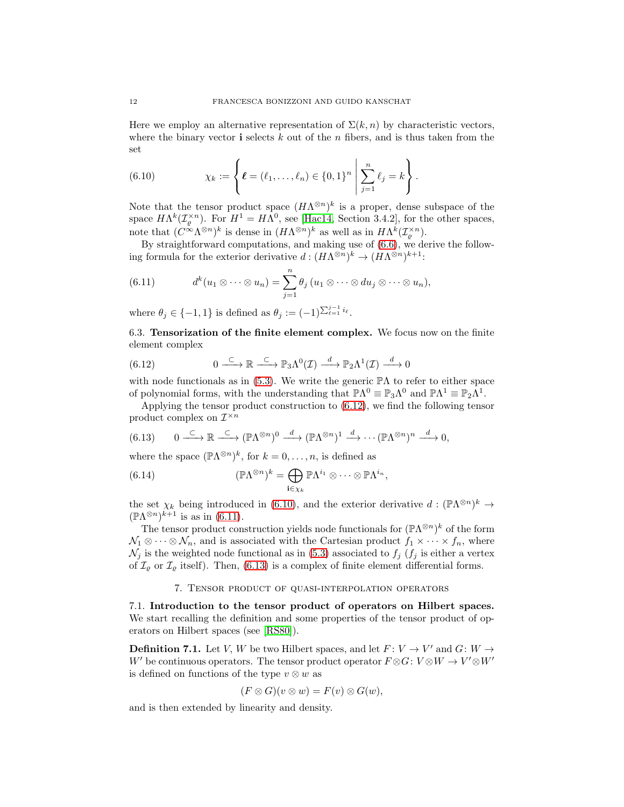Here we employ an alternative representation of  $\Sigma(k, n)$  by characteristic vectors, where the binary vector i selects  $k$  out of the  $n$  fibers, and is thus taken from the set

<span id="page-11-2"></span>(6.10) 
$$
\chi_k := \left\{ \ell = (\ell_1, \ldots, \ell_n) \in \{0, 1\}^n \middle| \sum_{j=1}^n \ell_j = k \right\}.
$$

Note that the tensor product space  $(H\Lambda^{\otimes n})^k$  is a proper, dense subspace of the space  $H\Lambda^k(\mathcal{I}_{\varrho}^{\times n})$ . For  $H^1 = H\Lambda^0$ , see [\[Hac14,](#page-18-21) Section 3.4.2], for the other spaces, note that  $(C^{\infty}\Lambda^{\otimes n})^k$  is dense in  $(H\Lambda^{\otimes n})^k$  as well as in  $H\Lambda^k(\mathcal{I}_{\varrho}^{\times n})$ .

By straightforward computations, and making use of [\(6.6\)](#page-10-2), we derive the following formula for the exterior derivative  $d: (H\Lambda^{\otimes n})^k \to (H\Lambda^{\otimes n})^{k+1}$ :

<span id="page-11-3"></span>(6.11) 
$$
d^{k}(u_{1} \otimes \cdots \otimes u_{n}) = \sum_{j=1}^{n} \theta_{j} (u_{1} \otimes \cdots \otimes du_{j} \otimes \cdots \otimes u_{n}),
$$

where  $\theta_j \in \{-1, 1\}$  is defined as  $\theta_j := (-1)^{\sum_{\ell=1}^{j-1} i_\ell}$ .

6.3. Tensorization of the finite element complex. We focus now on the finite element complex

<span id="page-11-1"></span>(6.12) 
$$
0 \xrightarrow{\subset} \mathbb{R} \xrightarrow{\subset} \mathbb{P}_3 \Lambda^0(\mathcal{I}) \xrightarrow{d} \mathbb{P}_2 \Lambda^1(\mathcal{I}) \xrightarrow{d} 0
$$

with node functionals as in [\(5.3\)](#page-6-3). We write the generic  $\mathbb{P}\Lambda$  to refer to either space of polynomial forms, with the understanding that  $\mathbb{P}\Lambda^0 \equiv \mathbb{P}_3\Lambda^0$  and  $\mathbb{P}\Lambda^1 \equiv \mathbb{P}_2\Lambda^1$ .

Applying the tensor product construction to [\(6.12\)](#page-11-1), we find the following tensor product complex on  $\mathcal{I}^{\times n}$ 

<span id="page-11-4"></span>(6.13) 
$$
0 \xrightarrow{\subset} \mathbb{R} \xrightarrow{\subset} (\mathbb{P}\Lambda^{\otimes n})^0 \xrightarrow{d} (\mathbb{P}\Lambda^{\otimes n})^1 \xrightarrow{d} \cdots (\mathbb{P}\Lambda^{\otimes n})^n \xrightarrow{d} 0,
$$

where the space  $(\mathbb{P}\Lambda^{\otimes n})^k$ , for  $k=0,\ldots,n$ , is defined as

<span id="page-11-6"></span>(6.14) 
$$
(\mathbb{P}\Lambda^{\otimes n})^k = \bigoplus_{\mathbf{i}\in\chi_k} \mathbb{P}\Lambda^{i_1} \otimes \cdots \otimes \mathbb{P}\Lambda^{i_n},
$$

the set  $\chi_k$  being introduced in [\(6.10\)](#page-11-2), and the exterior derivative  $d: (\mathbb{P}\Lambda^{\otimes n})^k \to$  $(\mathbb{P}\Lambda^{\otimes n})^{k+1}$  is as in [\(6.11\)](#page-11-3).

The tensor product construction yields node functionals for  $(\mathbb{P}\Lambda^{\otimes n})^k$  of the form  $\mathcal{N}_1 \otimes \cdots \otimes \mathcal{N}_n$ , and is associated with the Cartesian product  $f_1 \times \cdots \times f_n$ , where  $\mathcal{N}_j$  is the weighted node functional as in [\(5.3\)](#page-6-3) associated to  $f_j$  ( $f_j$  is either a vertex of  $\mathcal{I}_{\varrho}$  or  $\mathcal{I}_{\varrho}$  itself). Then, [\(6.13\)](#page-11-4) is a complex of finite element differential forms.

## 7. Tensor product of quasi-interpolation operators

<span id="page-11-0"></span>7.1. Introduction to the tensor product of operators on Hilbert spaces. We start recalling the definition and some properties of the tensor product of operators on Hilbert spaces (see [\[RS80\]](#page-18-20)).

<span id="page-11-5"></span>**Definition 7.1.** Let V, W be two Hilbert spaces, and let  $F: V \to V'$  and  $G: W \to W'$ W' be continuous operators. The tensor product operator  $F \otimes G : V \otimes W \to V' \otimes W'$ is defined on functions of the type  $v \otimes w$  as

$$
(F \otimes G)(v \otimes w) = F(v) \otimes G(w),
$$

and is then extended by linearity and density.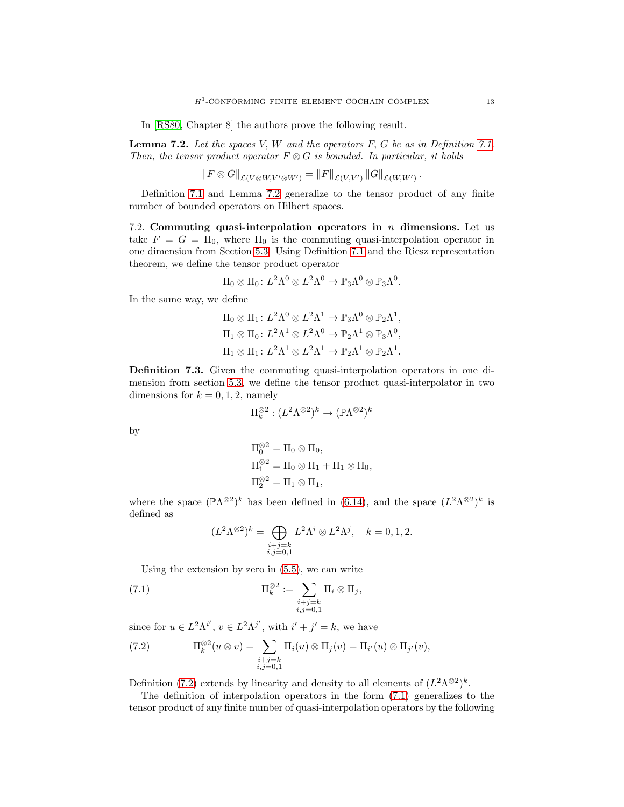In [\[RS80,](#page-18-20) Chapter 8] the authors prove the following result.

<span id="page-12-0"></span>Lemma 7.2. *Let the spaces* V, W *and the operators* F, G *be as in Definition [7.1.](#page-11-5) Then, the tensor product operator*  $F \otimes G$  *is bounded. In particular, it holds* 

$$
||F \otimes G||_{\mathcal{L}(V \otimes W, V' \otimes W')} = ||F||_{\mathcal{L}(V, V')} ||G||_{\mathcal{L}(W, W')}.
$$

Definition [7.1](#page-11-5) and Lemma [7.2](#page-12-0) generalize to the tensor product of any finite number of bounded operators on Hilbert spaces.

7.2. Commuting quasi-interpolation operators in  $n$  dimensions. Let us take  $F = G = \Pi_0$ , where  $\Pi_0$  is the commuting quasi-interpolation operator in one dimension from Section [5.3.](#page-7-1) Using Definition [7.1](#page-11-5) and the Riesz representation theorem, we define the tensor product operator

$$
\Pi_0 \otimes \Pi_0 \colon L^2 \Lambda^0 \otimes L^2 \Lambda^0 \to \mathbb{P}_3 \Lambda^0 \otimes \mathbb{P}_3 \Lambda^0.
$$

In the same way, we define

$$
\Pi_0 \otimes \Pi_1: L^2 \Lambda^0 \otimes L^2 \Lambda^1 \to \mathbb{P}_3 \Lambda^0 \otimes \mathbb{P}_2 \Lambda^1,
$$
  
\n
$$
\Pi_1 \otimes \Pi_0: L^2 \Lambda^1 \otimes L^2 \Lambda^0 \to \mathbb{P}_2 \Lambda^1 \otimes \mathbb{P}_3 \Lambda^0,
$$
  
\n
$$
\Pi_1 \otimes \Pi_1: L^2 \Lambda^1 \otimes L^2 \Lambda^1 \to \mathbb{P}_2 \Lambda^1 \otimes \mathbb{P}_2 \Lambda^1.
$$

Definition 7.3. Given the commuting quasi-interpolation operators in one dimension from section [5.3,](#page-7-1) we define the tensor product quasi-interpolator in two dimensions for  $k = 0, 1, 2$ , namely

$$
\Pi_k^{\otimes 2} : (L^2 \Lambda^{\otimes 2})^k \to (\mathbb{P}\Lambda^{\otimes 2})^k
$$

by

$$
\Pi_0^{\otimes 2} = \Pi_0 \otimes \Pi_0,
$$
  
\n
$$
\Pi_1^{\otimes 2} = \Pi_0 \otimes \Pi_1 + \Pi_1 \otimes \Pi_0,
$$
  
\n
$$
\Pi_2^{\otimes 2} = \Pi_1 \otimes \Pi_1,
$$

where the space  $(\mathbb{P}\Lambda^{\otimes 2})^k$  has been defined in [\(6.14\)](#page-11-6), and the space  $(L^2\Lambda^{\otimes 2})^k$  is defined as

$$
(L^2\Lambda^{\otimes 2})^k = \bigoplus_{\substack{i+j=k\\i,j=0,1}} L^2\Lambda^i \otimes L^2\Lambda^j, \quad k=0,1,2.
$$

Using the extension by zero in [\(5.5\)](#page-7-2), we can write

<span id="page-12-2"></span>(7.1) 
$$
\Pi_k^{\otimes 2} := \sum_{\substack{i+j=k \ i,j=0,1}} \Pi_i \otimes \Pi_j,
$$

since for  $u \in L^2 \Lambda^{i'}$ ,  $v \in L^2 \Lambda^{j'}$ , with  $i' + j' = k$ , we have

<span id="page-12-1"></span>(7.2) 
$$
\Pi_k^{\otimes 2}(u \otimes v) = \sum_{\substack{i+j=k \ i,j=0,1}} \Pi_i(u) \otimes \Pi_j(v) = \Pi_{i'}(u) \otimes \Pi_{j'}(v),
$$

Definition [\(7.2\)](#page-12-1) extends by linearity and density to all elements of  $(L^2\Lambda^{\otimes 2})^k$ .

The definition of interpolation operators in the form [\(7.1\)](#page-12-2) generalizes to the tensor product of any finite number of quasi-interpolation operators by the following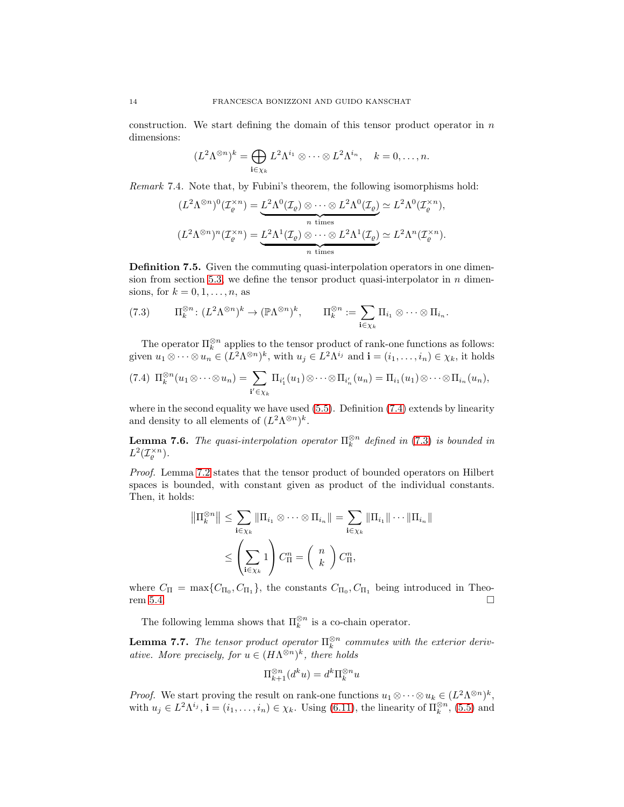construction. We start defining the domain of this tensor product operator in  $n$ dimensions:

$$
(L^2 \Lambda^{\otimes n})^k = \bigoplus_{\mathbf{i} \in \chi_k} L^2 \Lambda^{i_1} \otimes \cdots \otimes L^2 \Lambda^{i_n}, \quad k = 0, \ldots, n.
$$

*Remark* 7.4*.* Note that, by Fubini's theorem, the following isomorphisms hold:

$$
(L^2 \Lambda^{\otimes n})^0(\mathcal{I}_{\varrho}^{\times n}) = \underbrace{L^2 \Lambda^0(\mathcal{I}_{\varrho}) \otimes \cdots \otimes L^2 \Lambda^0(\mathcal{I}_{\varrho})}_{n \text{ times}} \simeq L^2 \Lambda^0(\mathcal{I}_{\varrho}^{\times n}),
$$
  

$$
(L^2 \Lambda^{\otimes n})^n(\mathcal{I}_{\varrho}^{\times n}) = \underbrace{L^2 \Lambda^1(\mathcal{I}_{\varrho}) \otimes \cdots \otimes L^2 \Lambda^1(\mathcal{I}_{\varrho})}_{n \text{ times}} \simeq L^2 \Lambda^n(\mathcal{I}_{\varrho}^{\times n}).
$$

Definition 7.5. Given the commuting quasi-interpolation operators in one dimen-sion from section [5.3,](#page-7-1) we define the tensor product quasi-interpolator in  $n$  dimensions, for  $k = 0, 1, \ldots, n$ , as

<span id="page-13-1"></span>(7.3) 
$$
\Pi_k^{\otimes n} \colon (L^2 \Lambda^{\otimes n})^k \to (\mathbb{P}\Lambda^{\otimes n})^k, \qquad \Pi_k^{\otimes n} := \sum_{\mathbf{i} \in \chi_k} \Pi_{i_1} \otimes \cdots \otimes \Pi_{i_n}.
$$

The operator  $\Pi_k^{\otimes n}$  applies to the tensor product of rank-one functions as follows: given  $u_1 \otimes \cdots \otimes u_n \in (L^2 \Lambda^{\otimes n})^k$ , with  $u_j \in L^2 \Lambda^{i_j}$  and  $\mathbf{i} = (i_1, \ldots, i_n) \in \chi_k$ , it holds

<span id="page-13-0"></span>
$$
(7.4) \ \Pi_k^{\otimes n}(u_1\otimes\cdots\otimes u_n)=\sum_{\mathbf{i}'\in\chi_k}\Pi_{i'_1}(u_1)\otimes\cdots\otimes\Pi_{i'_n}(u_n)=\Pi_{i_1}(u_1)\otimes\cdots\otimes\Pi_{i_n}(u_n),
$$

where in the second equality we have used  $(5.5)$ . Definition  $(7.4)$  extends by linearity and density to all elements of  $(L^2 \Lambda^{\otimes n})^k$ .

**Lemma 7.6.** *The quasi-interpolation operator*  $\Pi_k^{\otimes n}$  *defined in* [\(7.3\)](#page-13-1) *is bounded in*  $L^2(\mathcal{I}_\varrho^{\times n}).$ 

*Proof.* Lemma [7.2](#page-12-0) states that the tensor product of bounded operators on Hilbert spaces is bounded, with constant given as product of the individual constants. Then, it holds:

$$
\|\Pi_k^{\otimes n}\| \le \sum_{\mathbf{i}\in\chi_k} \|\Pi_{i_1}\otimes\cdots\otimes\Pi_{i_n}\| = \sum_{\mathbf{i}\in\chi_k} \|\Pi_{i_1}\|\cdots\|\Pi_{i_n}\|
$$
  

$$
\le \left(\sum_{\mathbf{i}\in\chi_k} 1\right) C_\Pi^n = \left(\begin{array}{c} n \\ k \end{array}\right) C_\Pi^n,
$$

where  $C_{\Pi} = \max\{C_{\Pi_0}, C_{\Pi_1}\}\$ , the constants  $C_{\Pi_0}, C_{\Pi_1}$  being introduced in Theo-rem [5.4.](#page-7-3)  $\Box$ 

The following lemma shows that  $\Pi_k^{\otimes n}$  is a co-chain operator.

**Lemma 7.7.** The tensor product operator  $\Pi_k^{\otimes n}$  commutes with the exterior deriv*ative. More precisely, for*  $u \in (H\Lambda^{\otimes n})^k$ *, there holds* 

$$
\Pi_{k+1}^{\otimes n}(d^ku) = d^k \Pi_k^{\otimes n} u
$$

*Proof.* We start proving the result on rank-one functions  $u_1 \otimes \cdots \otimes u_k \in (L^2 \Lambda^{\otimes n})^k$ , with  $u_j \in L^2 \Lambda^{i_j}$ ,  $\mathbf{i} = (i_1, \ldots, i_n) \in \chi_k$ . Using [\(6.11\)](#page-11-3), the linearity of  $\Pi_k^{\otimes n}$ , [\(5.5\)](#page-7-2) and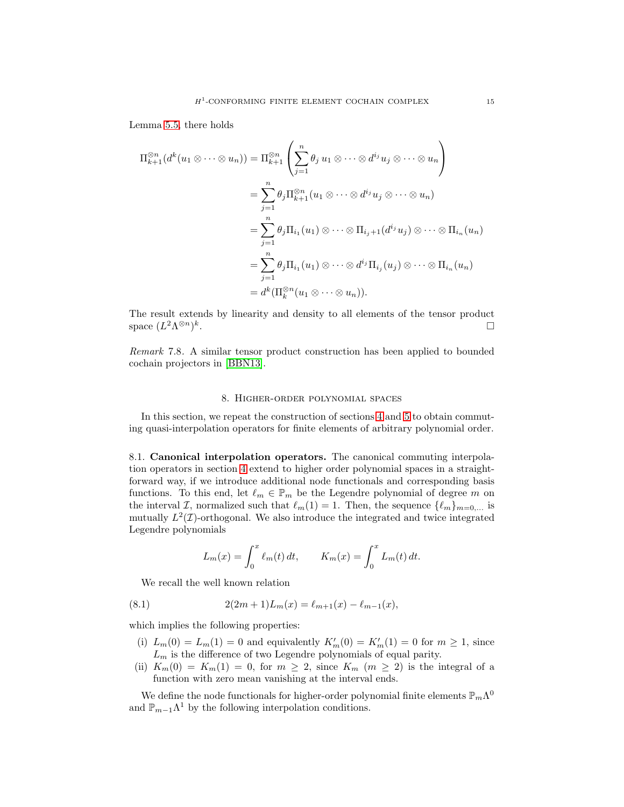Lemma [5.5,](#page-8-0) there holds

$$
\Pi_{k+1}^{\otimes n}(d^{k}(u_{1}\otimes\cdots\otimes u_{n})) = \Pi_{k+1}^{\otimes n} \left(\sum_{j=1}^{n} \theta_{j} u_{1} \otimes\cdots\otimes d^{i_{j}} u_{j} \otimes\cdots\otimes u_{n}\right)
$$
  
\n
$$
= \sum_{j=1}^{n} \theta_{j} \Pi_{k+1}^{\otimes n}(u_{1}\otimes\cdots\otimes d^{i_{j}} u_{j} \otimes\cdots\otimes u_{n})
$$
  
\n
$$
= \sum_{j=1}^{n} \theta_{j} \Pi_{i_{1}}(u_{1}) \otimes\cdots\otimes \Pi_{i_{j}+1}(d^{i_{j}} u_{j}) \otimes\cdots\otimes \Pi_{i_{n}}(u_{n})
$$
  
\n
$$
= \sum_{j=1}^{n} \theta_{j} \Pi_{i_{1}}(u_{1}) \otimes\cdots\otimes d^{i_{j}} \Pi_{i_{j}}(u_{j}) \otimes\cdots\otimes \Pi_{i_{n}}(u_{n})
$$
  
\n
$$
= d^{k}(\Pi_{k}^{\otimes n}(u_{1}\otimes\cdots\otimes u_{n})).
$$

The result extends by linearity and density to all elements of the tensor product space  $(L^2 \Lambda^{\otimes n})^k$ .

*Remark* 7.8*.* A similar tensor product construction has been applied to bounded cochain projectors in [\[BBN13\]](#page-18-22).

# 8. Higher-order polynomial spaces

<span id="page-14-0"></span>In this section, we repeat the construction of sections [4](#page-4-0) and [5](#page-6-0) to obtain commuting quasi-interpolation operators for finite elements of arbitrary polynomial order.

8.1. Canonical interpolation operators. The canonical commuting interpolation operators in section [4](#page-4-0) extend to higher order polynomial spaces in a straightforward way, if we introduce additional node functionals and corresponding basis functions. To this end, let  $\ell_m \in \mathbb{P}_m$  be the Legendre polynomial of degree m on the interval I, normalized such that  $\ell_m(1) = 1$ . Then, the sequence  $\{\ell_m\}_{m=0,\dots}$  is mutually  $L^2(\mathcal{I})$ -orthogonal. We also introduce the integrated and twice integrated Legendre polynomials

$$
L_m(x) = \int_0^x \ell_m(t) dt, \qquad K_m(x) = \int_0^x L_m(t) dt.
$$

We recall the well known relation

<span id="page-14-1"></span>(8.1) 
$$
2(2m+1)L_m(x) = \ell_{m+1}(x) - \ell_{m-1}(x),
$$

which implies the following properties:

- (i)  $L_m(0) = L_m(1) = 0$  and equivalently  $K'_m(0) = K'_m(1) = 0$  for  $m \ge 1$ , since  $L_m$  is the difference of two Legendre polynomials of equal parity.
- (ii)  $K_m(0) = K_m(1) = 0$ , for  $m \geq 2$ , since  $K_m$   $(m \geq 2)$  is the integral of a function with zero mean vanishing at the interval ends.

We define the node functionals for higher-order polynomial finite elements  $\mathbb{P}_m\Lambda^0$ and  $\mathbb{P}_{m-1}\Lambda^1$  by the following interpolation conditions.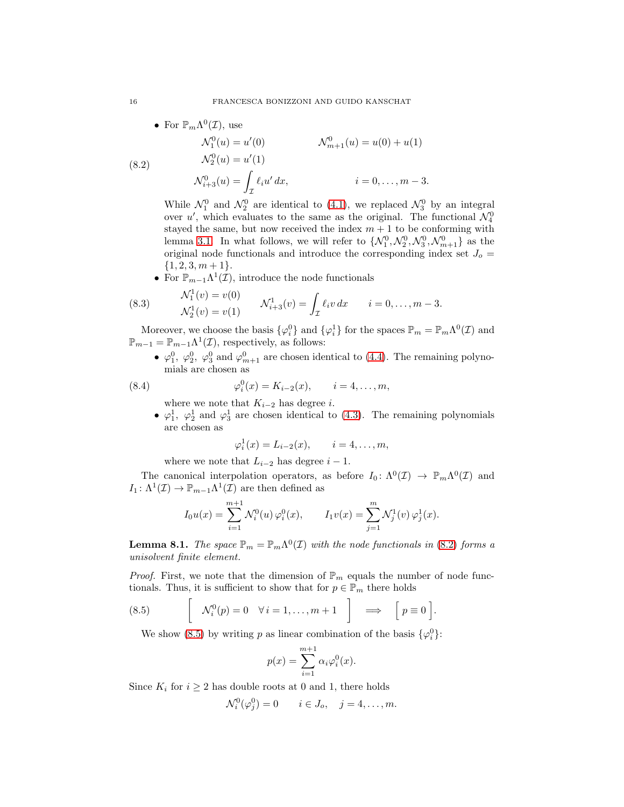• For 
$$
\mathbb{P}_m\Lambda^0(\mathcal{I})
$$
, use

<span id="page-15-0"></span>(8.2) 
$$
\mathcal{N}_1^0(u) = u'(0) \qquad \mathcal{N}_{m+1}^0(u) = u(0) + u(1) \n\mathcal{N}_2^0(u) = u'(1) \n\mathcal{N}_{i+3}^0(u) = \int_{\mathcal{I}} \ell_i u' dx, \qquad i = 0, ..., m-3.
$$

While  $\mathcal{N}_1^0$  and  $\mathcal{N}_2^0$  are identical to [\(4.1\)](#page-4-1), we replaced  $\mathcal{N}_3^0$  by an integral over  $u'$ , which evaluates to the same as the original. The functional  $\mathcal{N}_4^0$ stayed the same, but now received the index  $m + 1$  to be conforming with lemma [3.1.](#page-3-5) In what follows, we will refer to  $\{\mathcal{N}_1^0, \mathcal{N}_2^0, \mathcal{N}_3^0, \mathcal{N}_{m+1}^0\}$  as the original node functionals and introduce the corresponding index set  $J_0 =$  $\{1, 2, 3, m+1\}.$ 

• For  $\mathbb{P}_{m-1}\Lambda^1(\mathcal{I})$ , introduce the node functionals

<span id="page-15-2"></span>(8.3) 
$$
\mathcal{N}_1^1(v) = v(0) \n\mathcal{N}_2^1(v) = v(1) \n\mathcal{N}_{i+3}^1(v) = \int_{\mathcal{I}} \ell_i v \, dx \qquad i = 0, \dots, m-3.
$$

Moreover, we choose the basis  $\{\varphi_i^0\}$  and  $\{\varphi_i^1\}$  for the spaces  $\mathbb{P}_m = \mathbb{P}_m\Lambda^0(\mathcal{I})$  and  $\mathbb{P}_{m-1} = \mathbb{P}_{m-1}\Lambda^1(\mathcal{I}),$  respectively, as follows:

•  $\varphi_1^0$ ,  $\varphi_2^0$ ,  $\varphi_3^0$  and  $\varphi_{m+1}^0$  are chosen identical to [\(4.4\)](#page-5-1). The remaining polynomials are chosen as

<span id="page-15-3"></span>(8.4) 
$$
\varphi_i^0(x) = K_{i-2}(x), \qquad i = 4, ..., m,
$$

where we note that  $K_{i-2}$  has degree *i*.

•  $\varphi_1^1$ ,  $\varphi_2^1$  and  $\varphi_3^1$  are chosen identical to [\(4.3\)](#page-5-2). The remaining polynomials are chosen as

$$
\varphi_i^1(x) = L_{i-2}(x), \qquad i = 4, \ldots, m,
$$

where we note that  $L_{i-2}$  has degree  $i-1$ .

The canonical interpolation operators, as before  $I_0: \Lambda^0(\mathcal{I}) \to \mathbb{P}_m\Lambda^0(\mathcal{I})$  and  $I_1: \Lambda^1(\mathcal{I}) \to \mathbb{P}_{m-1}\Lambda^1(\mathcal{I})$  are then defined as

$$
I_0 u(x) = \sum_{i=1}^{m+1} \mathcal{N}_i^0(u) \, \varphi_i^0(x), \qquad I_1 v(x) = \sum_{j=1}^m \mathcal{N}_j^1(v) \, \varphi_j^1(x).
$$

**Lemma 8.1.** *The space*  $\mathbb{P}_m = \mathbb{P}_m \Lambda^0(\mathcal{I})$  *with the node functionals in* [\(8.2\)](#page-15-0) *forms a unisolvent finite element.*

*Proof.* First, we note that the dimension of  $\mathbb{P}_m$  equals the number of node functionals. Thus, it is sufficient to show that for  $p \in \mathbb{P}_m$  there holds

<span id="page-15-1"></span>(8.5) 
$$
\left[\begin{array}{cc} \mathcal{N}_i^0(p) = 0 & \forall i = 1, \dots, m+1 \end{array}\right] \implies \left[p \equiv 0\right].
$$

We show [\(8.5\)](#page-15-1) by writing p as linear combination of the basis  $\{\varphi_i^0\}$ :

$$
p(x) = \sum_{i=1}^{m+1} \alpha_i \varphi_i^0(x).
$$

Since  $K_i$  for  $i \geq 2$  has double roots at 0 and 1, there holds

$$
\mathcal{N}_i^0(\varphi_j^0) = 0 \qquad i \in J_o, \quad j = 4, \dots, m.
$$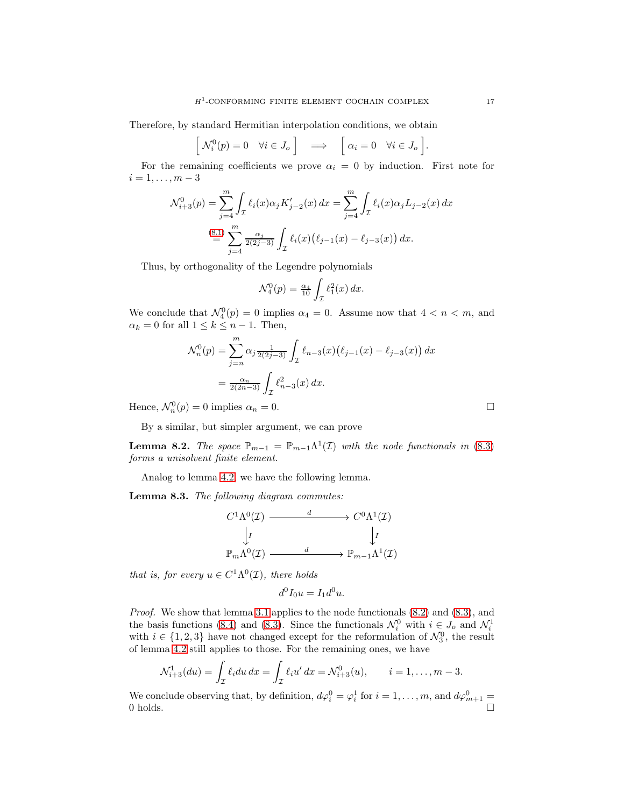Therefore, by standard Hermitian interpolation conditions, we obtain

$$
\begin{bmatrix} \mathcal{N}_i^0(p) = 0 & \forall i \in J_o \end{bmatrix} \implies \begin{bmatrix} \alpha_i = 0 & \forall i \in J_o \end{bmatrix}.
$$

For the remaining coefficients we prove  $\alpha_i = 0$  by induction. First note for  $i = 1, \ldots, m - 3$ 

$$
\mathcal{N}_{i+3}^0(p) = \sum_{j=4}^m \int_{\mathcal{I}} \ell_i(x) \alpha_j K'_{j-2}(x) dx = \sum_{j=4}^m \int_{\mathcal{I}} \ell_i(x) \alpha_j L_{j-2}(x) dx
$$
  

$$
\stackrel{(8.1)}{=} \sum_{j=4}^m \frac{\alpha_j}{2(2j-3)} \int_{\mathcal{I}} \ell_i(x) (\ell_{j-1}(x) - \ell_{j-3}(x)) dx.
$$

Thus, by orthogonality of the Legendre polynomials

$$
\mathcal{N}_4^0(p) = \frac{\alpha_4}{10} \int_{\mathcal{I}} \ell_1^2(x) \, dx.
$$

We conclude that  $\mathcal{N}_4^0(p) = 0$  implies  $\alpha_4 = 0$ . Assume now that  $4 < n < m$ , and  $\alpha_k = 0$  for all  $1 \leq k \leq n-1$ . Then,

$$
\mathcal{N}_n^0(p) = \sum_{j=n}^m \alpha_j \frac{1}{2(2j-3)} \int_{\mathcal{I}} \ell_{n-3}(x) (\ell_{j-1}(x) - \ell_{j-3}(x)) dx
$$
  
= 
$$
\frac{\alpha_n}{2(2n-3)} \int_{\mathcal{I}} \ell_{n-3}^2(x) dx.
$$

Hence,  $\mathcal{N}_n^0(p) = 0$  implies  $\alpha_n = 0$ .

By a similar, but simpler argument, we can prove

**Lemma 8.2.** *The space*  $\mathbb{P}_{m-1} = \mathbb{P}_{m-1}\Lambda^1(\mathcal{I})$  *with the node functionals in* [\(8.3\)](#page-15-2) *forms a unisolvent finite element.*

Analog to lemma [4.2,](#page-5-3) we have the following lemma.

Lemma 8.3. *The following diagram commutes:*

$$
C^{1}\Lambda^{0}(\mathcal{I}) \xrightarrow{d} C^{0}\Lambda^{1}(\mathcal{I})
$$

$$
\downarrow I \qquad \qquad \downarrow I
$$

$$
\mathbb{P}_{m}\Lambda^{0}(\mathcal{I}) \xrightarrow{d} \mathbb{P}_{m-1}\Lambda^{1}(\mathcal{I})
$$

*that is, for every*  $u \in C^1 \Lambda^0(\mathcal{I})$ *, there holds* 

$$
d^0I_0u = I_1d^0u.
$$

*Proof.* We show that lemma [3.1](#page-3-5) applies to the node functionals [\(8.2\)](#page-15-0) and [\(8.3\)](#page-15-2), and the basis functions [\(8.4\)](#page-15-3) and [\(8.3\)](#page-15-2). Since the functionals  $\mathcal{N}_i^0$  with  $i \in J_o$  and  $\mathcal{N}_i^1$ with  $i \in \{1, 2, 3\}$  have not changed except for the reformulation of  $\mathcal{N}_3^0$ , the result of lemma [4.2](#page-5-3) still applies to those. For the remaining ones, we have

$$
\mathcal{N}_{i+3}^1(du) = \int_{\mathcal{I}} \ell_i du \, dx = \int_{\mathcal{I}} \ell_i u' \, dx = \mathcal{N}_{i+3}^0(u), \qquad i = 1, \dots, m-3.
$$

We conclude observing that, by definition,  $d\varphi_i^0 = \varphi_i^1$  for  $i = 1, ..., m$ , and  $d\varphi_{m+1}^0 =$ 0 holds.  $\Box$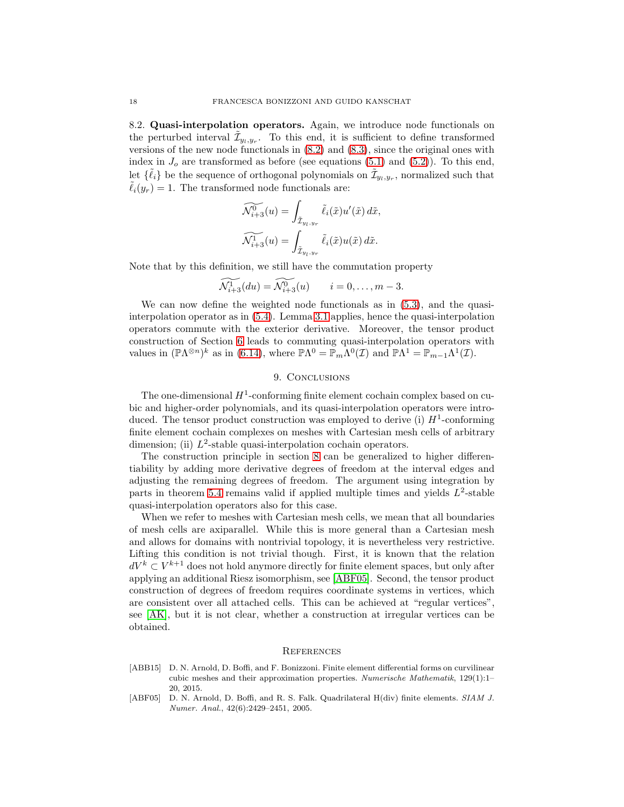8.2. Quasi-interpolation operators. Again, we introduce node functionals on the perturbed interval  $\tilde{\mathcal{I}}_{y_l, y_r}$ . To this end, it is sufficient to define transformed versions of the new node functionals in [\(8.2\)](#page-15-0) and [\(8.3\)](#page-15-2), since the original ones with index in  $J<sub>o</sub>$  are transformed as before (see equations [\(5.1\)](#page-6-1) and [\(5.2\)](#page-6-2)). To this end, let  $\{\tilde{\ell}_i\}$  be the sequence of orthogonal polynomials on  $\tilde{\mathcal{I}}_{y_l, y_r}$ , normalized such that  $\ell_i(y_r) = 1$ . The transformed node functionals are:

$$
\begin{aligned}\n\widetilde{\mathcal{N}_{i+3}^0}(u) &= \int_{\tilde{\mathcal{I}}_{y_l, y_r}} \tilde{\ell}_i(\tilde{x}) u'(\tilde{x}) \, d\tilde{x}, \\
\widetilde{\mathcal{N}_{i+3}^1}(u) &= \int_{\tilde{\mathcal{I}}_{y_l, y_r}} \tilde{\ell}_i(\tilde{x}) u(\tilde{x}) \, d\tilde{x}.\n\end{aligned}
$$

Note that by this definition, we still have the commutation property

$$
\widetilde{\mathcal{N}_{i+3}^1}(du) = \widetilde{\mathcal{N}_{i+3}^0}(u) \qquad i = 0, \ldots, m-3.
$$

We can now define the weighted node functionals as in [\(5.3\)](#page-6-3), and the quasiinterpolation operator as in [\(5.4\)](#page-7-0). Lemma [3.1](#page-3-5) applies, hence the quasi-interpolation operators commute with the exterior derivative. Moreover, the tensor product construction of Section [6](#page-9-0) leads to commuting quasi-interpolation operators with values in  $(\mathbb{P}\Lambda^{\otimes n})^k$  as in [\(6.14\)](#page-11-6), where  $\mathbb{P}\Lambda^0 = \mathbb{P}_m\Lambda^0(\mathcal{I})$  and  $\mathbb{P}\Lambda^1 = \mathbb{P}_{m-1}\Lambda^1(\mathcal{I})$ .

# 9. CONCLUSIONS

The one-dimensional  $H^1$ -conforming finite element cochain complex based on cubic and higher-order polynomials, and its quasi-interpolation operators were introduced. The tensor product construction was employed to derive (i)  $H^1$ -conforming finite element cochain complexes on meshes with Cartesian mesh cells of arbitrary dimension; (ii)  $L^2$ -stable quasi-interpolation cochain operators.

The construction principle in section [8](#page-14-0) can be generalized to higher differentiability by adding more derivative degrees of freedom at the interval edges and adjusting the remaining degrees of freedom. The argument using integration by parts in theorem [5.4](#page-7-3) remains valid if applied multiple times and yields  $L^2$ -stable quasi-interpolation operators also for this case.

When we refer to meshes with Cartesian mesh cells, we mean that all boundaries of mesh cells are axiparallel. While this is more general than a Cartesian mesh and allows for domains with nontrivial topology, it is nevertheless very restrictive. Lifting this condition is not trivial though. First, it is known that the relation  $dV^k \subset V^{k+1}$  does not hold anymore directly for finite element spaces, but only after applying an additional Riesz isomorphism, see [\[ABF05\]](#page-17-1). Second, the tensor product construction of degrees of freedom requires coordinate systems in vertices, which are consistent over all attached cells. This can be achieved at "regular vertices", see [\[AK\]](#page-18-23), but it is not clear, whether a construction at irregular vertices can be obtained.

#### **REFERENCES**

- <span id="page-17-0"></span>[ABB15] D. N. Arnold, D. Boffi, and F. Bonizzoni. Finite element differential forms on curvilinear cubic meshes and their approximation properties. *Numerische Mathematik*, 129(1):1– 20, 2015.
- <span id="page-17-1"></span>[ABF05] D. N. Arnold, D. Boffi, and R. S. Falk. Quadrilateral H(div) finite elements. *SIAM J. Numer. Anal.*, 42(6):2429–2451, 2005.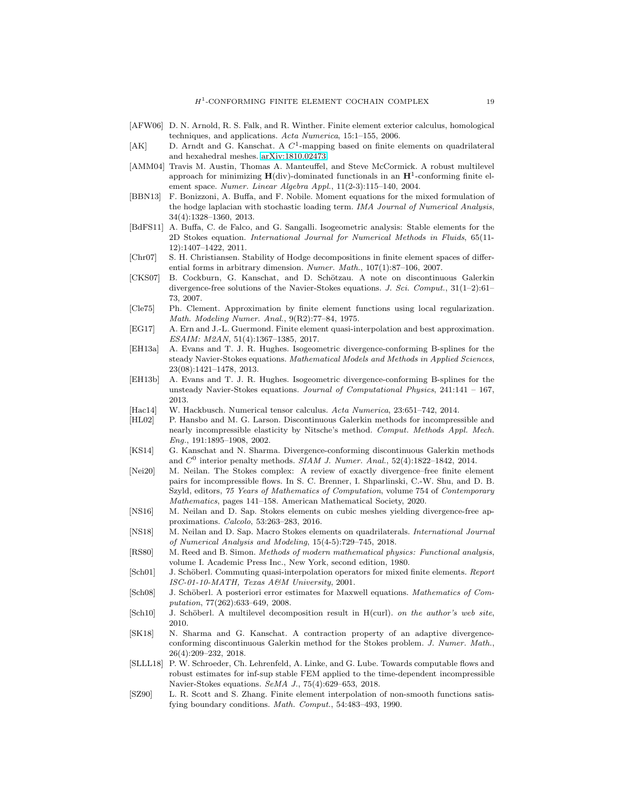- <span id="page-18-15"></span>[AFW06] D. N. Arnold, R. S. Falk, and R. Winther. Finite element exterior calculus, homological techniques, and applications. *Acta Numerica*, 15:1–155, 2006.
- <span id="page-18-23"></span>[AK] D. Arndt and G. Kanschat. A  $C^1$ -mapping based on finite elements on quadrilateral and hexahedral meshes. [arXiv:1810.02473.](http://arxiv.org/abs/1810.02473)
- <span id="page-18-6"></span>[AMM04] Travis M. Austin, Thomas A. Manteuffel, and Steve McCormick. A robust multilevel approach for minimizing  $H$ (div)-dominated functionals in an  $H^1$ -conforming finite element space. *Numer. Linear Algebra Appl.*, 11(2-3):115–140, 2004.
- <span id="page-18-22"></span>[BBN13] F. Bonizzoni, A. Buffa, and F. Nobile. Moment equations for the mixed formulation of the hodge laplacian with stochastic loading term. *IMA Journal of Numerical Analysis*, 34(4):1328–1360, 2013.
- <span id="page-18-9"></span>[BdFS11] A. Buffa, C. de Falco, and G. Sangalli. Isogeometric analysis: Stable elements for the 2D Stokes equation. *International Journal for Numerical Methods in Fluids*, 65(11- 12):1407–1422, 2011.
- <span id="page-18-19"></span>[Chr07] S. H. Christiansen. Stability of Hodge decompositions in finite element spaces of differential forms in arbitrary dimension. *Numer. Math.*, 107(1):87–106, 2007.
- <span id="page-18-4"></span>[CKS07] B. Cockburn, G. Kanschat, and D. Schötzau. A note on discontinuous Galerkin divergence-free solutions of the Navier-Stokes equations. *J. Sci. Comput.*, 31(1–2):61– 73, 2007.
- <span id="page-18-16"></span>[Cle75] Ph. Clement. Approximation by finite element functions using local regularization. *Math. Modeling Numer. Anal.*, 9(R2):77–84, 1975.
- <span id="page-18-17"></span>[EG17] A. Ern and J.-L. Guermond. Finite element quasi-interpolation and best approximation. *ESAIM: M2AN*, 51(4):1367–1385, 2017.
- <span id="page-18-10"></span>[EH13a] A. Evans and T. J. R. Hughes. Isogeometric divergence-conforming B-splines for the steady Navier-Stokes equations. *Mathematical Models and Methods in Applied Sciences*, 23(08):1421–1478, 2013.
- <span id="page-18-11"></span>[EH13b] A. Evans and T. J. R. Hughes. Isogeometric divergence-conforming B-splines for the unsteady Navier-Stokes equations. *Journal of Computational Physics*, 241:141 – 167, 2013.
- <span id="page-18-21"></span>[Hac14] W. Hackbusch. Numerical tensor calculus. *Acta Numerica*, 23:651–742, 2014.
- <span id="page-18-3"></span>[HL02] P. Hansbo and M. G. Larson. Discontinuous Galerkin methods for incompressible and nearly incompressible elasticity by Nitsche's method. *Comput. Methods Appl. Mech. Eng.*, 191:1895–1908, 2002.
- <span id="page-18-1"></span>[KS14] G. Kanschat and N. Sharma. Divergence-conforming discontinuous Galerkin methods and  $C^0$  interior penalty methods. *SIAM J. Numer. Anal.*, 52(4):1822-1842, 2014.
- <span id="page-18-5"></span>[Nei20] M. Neilan. The Stokes complex: A review of exactly divergence–free finite element pairs for incompressible flows. In S. C. Brenner, I. Shparlinski, C.-W. Shu, and D. B. Szyld, editors, *75 Years of Mathematics of Computation*, volume 754 of *Contemporary Mathematics*, pages 141–158. American Mathematical Society, 2020.
- <span id="page-18-7"></span>[NS16] M. Neilan and D. Sap. Stokes elements on cubic meshes yielding divergence-free approximations. *Calcolo*, 53:263–283, 2016.
- <span id="page-18-8"></span>[NS18] M. Neilan and D. Sap. Macro Stokes elements on quadrilaterals. *International Journal of Numerical Analysis and Modeling*, 15(4-5):729–745, 2018.
- <span id="page-18-20"></span>[RS80] M. Reed and B. Simon. *Methods of modern mathematical physics: Functional analysis*, volume I. Academic Press Inc., New York, second edition, 1980.
- <span id="page-18-12"></span>[Sch01] J. Schöberl. Commuting quasi-interpolation operators for mixed finite elements. *Report ISC-01-10-MATH, Texas A&M University*, 2001.
- <span id="page-18-13"></span>[Sch08] J. Schöberl. A posteriori error estimates for Maxwell equations. *Mathematics of Computation*, 77(262):633–649, 2008.
- <span id="page-18-14"></span>[Sch10] J. Schöberl. A multilevel decomposition result in H(curl). *on the author's web site*, 2010.
- <span id="page-18-2"></span>[SK18] N. Sharma and G. Kanschat. A contraction property of an adaptive divergenceconforming discontinuous Galerkin method for the Stokes problem. *J. Numer. Math.*, 26(4):209–232, 2018.
- <span id="page-18-0"></span>[SLLL18] P. W. Schroeder, Ch. Lehrenfeld, A. Linke, and G. Lube. Towards computable flows and robust estimates for inf-sup stable FEM applied to the time-dependent incompressible Navier-Stokes equations. *SeMA J.*, 75(4):629–653, 2018.
- <span id="page-18-18"></span>[SZ90] L. R. Scott and S. Zhang. Finite element interpolation of non-smooth functions satisfying boundary conditions. *Math. Comput.*, 54:483–493, 1990.